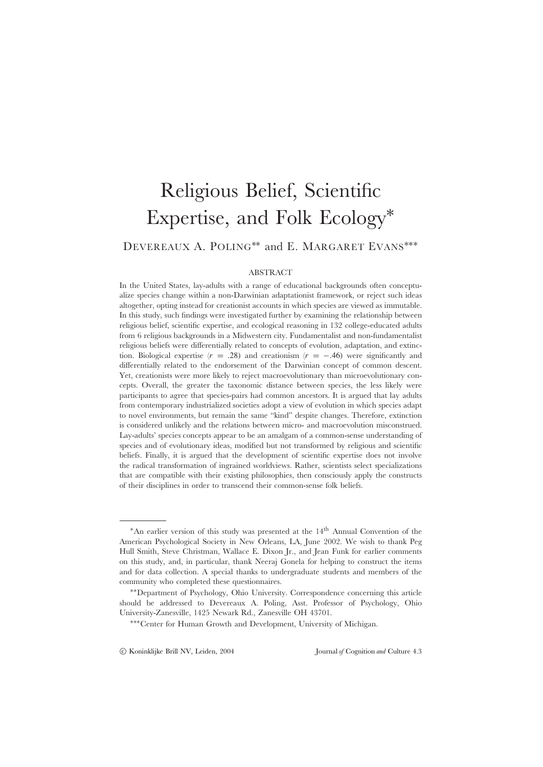# Religious Belief, Scientific Expertise, and Folk Ecology\*

DEVEREAUX A. POLING<sup>\*\*</sup> and E. MARGARET EVANS<sup>\*\*\*</sup>

#### **ABSTRACT**

In the United States, lay-adults with a range of educational backgrounds often conceptualize species change within a non-Darwinian adaptationist framework, or reject such ideas altogether, opting instead for creationist accounts in which species are viewed as immutable. In this study, such findings were investigated further by examining the relationship between religious belief, scientific expertise, and ecological reasoning in 132 college-educated adults from 6 religious backgrounds in a Midwestern city. Fundamentalist and non-fundamentalist religious beliefs were differentially related to concepts of evolution, adaptation, and extinction. Biological expertise  $(r = .28)$  and creationism  $(r = -.46)$  were significantly and differentially related to the endorsement of the Darwinian concept of common descent. Yet, creationists were more likely to reject macroevolutionary than microevolutionary concepts. Overall, the greater the taxonomic distance between species, the less likely were participants to agree that species-pairs had common ancestors. It is argued that lay adults from contemporary industrialized societies adopt a view of evolution in which species adapt to novel environments, but remain the same "kind" despite changes. Therefore, extinction is considered unlikely and the relations between micro- and macroevolution misconstrued. Lay-adults' species concepts appear to be an amalgam of a common-sense understanding of species and of evolutionary ideas, modified but not transformed by religious and scientific beliefs. Finally, it is argued that the development of scientific expertise does not involve the radical transformation of ingrained worldviews. Rather, scientists select specializations that are compatible with their existing philosophies, then consciously apply the constructs of their disciplines in order to transcend their common-sense folk beliefs.

<sup>\*</sup>An earlier version of this study was presented at the 14<sup>th</sup> Annual Convention of the American Psychological Society in New Orleans, LA, June 2002. We wish to thank Peg Hull Smith, Steve Christman, Wallace E. Dixon Jr., and Jean Funk for earlier comments on this study, and, in particular, thank Neeraj Gonela for helping to construct the items and for data collection. A special thanks to undergraduate students and members of the community who completed these questionnaires.

<sup>\*\*</sup> Department of Psychology, Ohio University. Correspondence concerning this article should be addressed to Devereaux A. Poling, Asst. Professor of Psychology, Ohio University-Zanesville, 1425 Newark Rd., Zanesville OH 43701.

<sup>\*\*\*</sup>Center for Human Growth and Development, University of Michigan.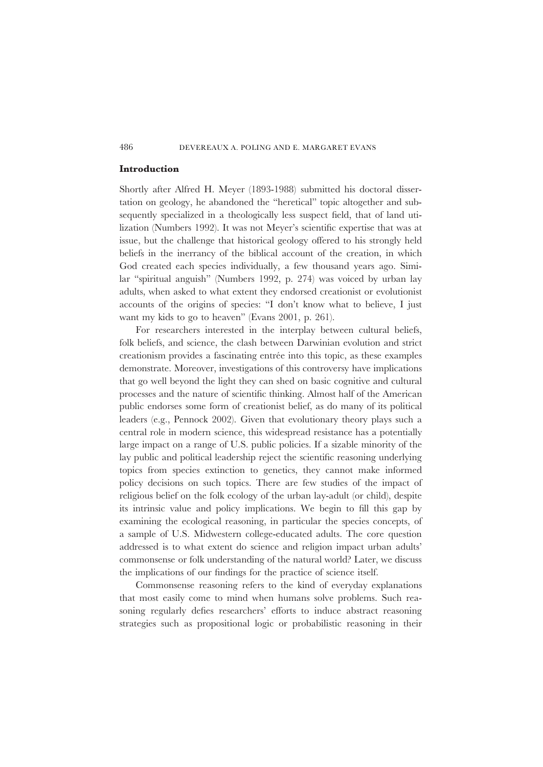# **Introduction**

Shortly after Alfred H. Meyer (1893-1988) submitted his doctoral dissertation on geology, he abandoned the "heretical" topic altogether and subsequently specialized in a theologically less suspect field, that of land utilization (Numbers 1992). It was not Meyer's scientific expertise that was at issue, but the challenge that historical geology offered to his strongly held beliefs in the inerrancy of the biblical account of the creation, in which God created each species individually, a few thousand years ago. Similar "spiritual anguish" (Numbers 1992, p. 274) was voiced by urban lay adults, when asked to what extent they endorsed creationist or evolutionist accounts of the origins of species: "I don't know what to believe, I just want my kids to go to heaven" (Evans 2001, p. 261).

For researchers interested in the interplay between cultural beliefs, folk beliefs, and science, the clash between Darwinian evolution and strict creationism provides a fascinating entrée into this topic, as these examples demonstrate. Moreover, investigations of this controversy have implications that go well beyond the light they can shed on basic cognitive and cultural processes and the nature of scientific thinking. Almost half of the American public endorses some form of creationist belief, as do many of its political leaders (e.g., Pennock 2002). Given that evolutionary theory plays such a central role in modern science, this widespread resistance has a potentially large impact on a range of U.S. public policies. If a sizable minority of the lay public and political leadership reject the scientific reasoning underlying topics from species extinction to genetics, they cannot make informed policy decisions on such topics. There are few studies of the impact of religious belief on the folk ecology of the urban lay-adult (or child), despite its intrinsic value and policy implications. We begin to fill this gap by examining the ecological reasoning, in particular the species concepts, of a sample of U.S. Midwestern college-educated adults. The core question addressed is to what extent do science and religion impact urban adults' commonsense or folk understanding of the natural world? Later, we discuss the implications of our findings for the practice of science itself.

Commonsense reasoning refers to the kind of everyday explanations that most easily come to mind when humans solve problems. Such reasoning regularly defies researchers' efforts to induce abstract reasoning strategies such as propositional logic or probabilistic reasoning in their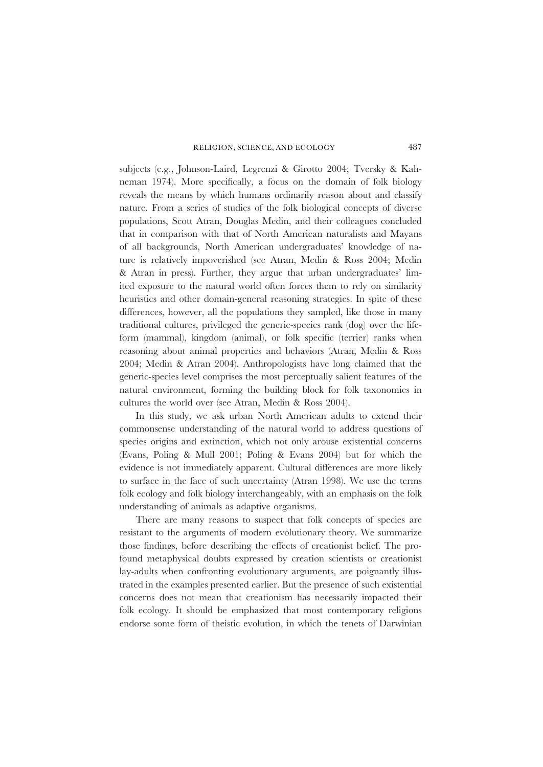subjects (e.g., Johnson-Laird, Legrenzi & Girotto 2004; Tversky & Kahneman 1974). More specifically, a focus on the domain of folk biology reveals the means by which humans ordinarily reason about and classify nature. From a series of studies of the folk biological concepts of diverse populations, Scott Atran, Douglas Medin, and their colleagues concluded that in comparison with that of North American naturalists and Mayans of all backgrounds, North American undergraduates' knowledge of nature is relatively impoverished (see Atran, Medin & Ross 2004; Medin & Atran in press). Further, they argue that urban undergraduates' limited exposure to the natural world often forces them to rely on similarity heuristics and other domain-general reasoning strategies. In spite of these differences, however, all the populations they sampled, like those in many traditional cultures, privileged the generic-species rank (dog) over the lifeform (mammal), kingdom (animal), or folk specific (terrier) ranks when reasoning about animal properties and behaviors (Atran, Medin & Ross 2004; Medin & Atran 2004). Anthropologists have long claimed that the generic-species level comprises the most perceptually salient features of the natural environment, forming the building block for folk taxonomies in cultures the world over (see Atran, Medin & Ross 2004).

In this study, we ask urban North American adults to extend their commonsense understanding of the natural world to address questions of species origins and extinction, which not only arouse existential concerns (Evans, Poling & Mull 2001; Poling & Evans 2004) but for which the evidence is not immediately apparent. Cultural differences are more likely to surface in the face of such uncertainty (Atran 1998). We use the terms folk ecology and folk biology interchangeably, with an emphasis on the folk understanding of animals as adaptive organisms.

There are many reasons to suspect that folk concepts of species are resistant to the arguments of modern evolutionary theory. We summarize those findings, before describing the effects of creationist belief. The profound metaphysical doubts expressed by creation scientists or creationist lay-adults when confronting evolutionary arguments, are poignantly illustrated in the examples presented earlier. But the presence of such existential concerns does not mean that creationism has necessarily impacted their folk ecology. It should be emphasized that most contemporary religions endorse some form of theistic evolution, in which the tenets of Darwinian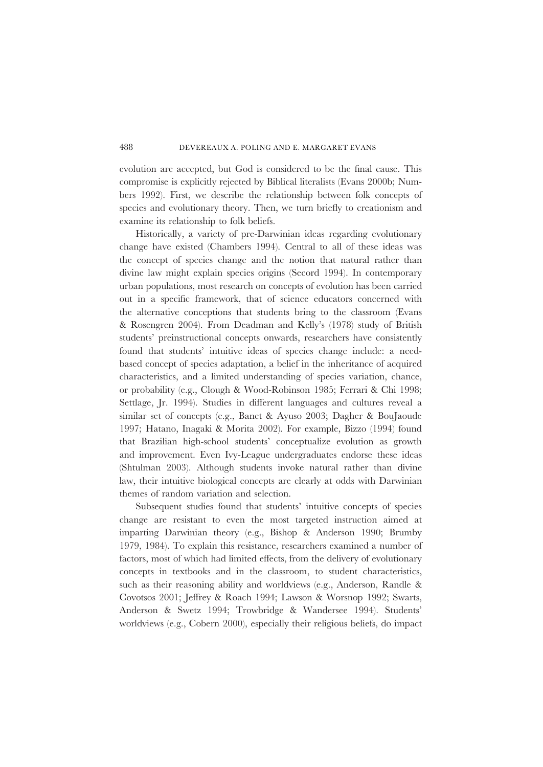evolution are accepted, but God is considered to be the final cause. This compromise is explicitly rejected by Biblical literalists (Evans 2000b; Numbers 1992). First, we describe the relationship between folk concepts of species and evolutionary theory. Then, we turn briefly to creationism and examine its relationship to folk beliefs.

Historically, a variety of pre-Darwinian ideas regarding evolutionary change have existed (Chambers 1994). Central to all of these ideas was the concept of species change and the notion that natural rather than divine law might explain species origins (Secord 1994). In contemporary urban populations, most research on concepts of evolution has been carried out in a specific framework, that of science educators concerned with the alternative conceptions that students bring to the classroom (Evans & Rosengren 2004). From Deadman and Kelly's (1978) study of British students' preinstructional concepts onwards, researchers have consistently found that students' intuitive ideas of species change include: a needbased concept of species adaptation, a belief in the inheritance of acquired characteristics, and a limited understanding of species variation, chance, or probability (e.g., Clough & Wood-Robinson 1985; Ferrari & Chi 1998; Settlage, Jr. 1994). Studies in different languages and cultures reveal a similar set of concepts (e.g., Banet & Ayuso 2003; Dagher & BouJaoude 1997; Hatano, Inagaki & Morita 2002). For example, Bizzo (1994) found that Brazilian high-school students' conceptualize evolution as growth and improvement. Even Ivy-League undergraduates endorse these ideas (Shtulman 2003). Although students invoke natural rather than divine law, their intuitive biological concepts are clearly at odds with Darwinian themes of random variation and selection.

Subsequent studies found that students' intuitive concepts of species change are resistant to even the most targeted instruction aimed at imparting Darwinian theory (e.g., Bishop & Anderson 1990; Brumby 1979, 1984). To explain this resistance, researchers examined a number of factors, most of which had limited effects, from the delivery of evolutionary concepts in textbooks and in the classroom, to student characteristics, such as their reasoning ability and worldviews (e.g., Anderson, Randle & Covotsos 2001; Jeffrey & Roach 1994; Lawson & Worsnop 1992; Swarts, Anderson & Swetz 1994; Trowbridge & Wandersee 1994). Students' worldviews (e.g., Cobern 2000), especially their religious beliefs, do impact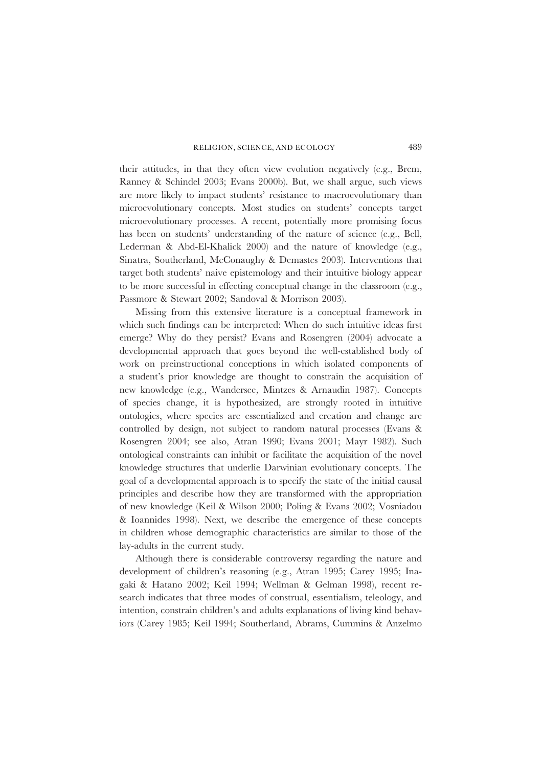their attitudes, in that they often view evolution negatively (e.g., Brem, Ranney & Schindel 2003; Evans 2000b). But, we shall argue, such views are more likely to impact students' resistance to macroevolutionary than microevolutionary concepts. Most studies on students' concepts target microevolutionary processes. A recent, potentially more promising focus has been on students' understanding of the nature of science (e.g., Bell, Lederman & Abd-El-Khalick 2000) and the nature of knowledge (e.g., Sinatra, Southerland, McConaughy & Demastes 2003). Interventions that target both students' naive epistemology and their intuitive biology appear to be more successful in effecting conceptual change in the classroom (e.g., Passmore & Stewart 2002; Sandoval & Morrison 2003).

Missing from this extensive literature is a conceptual framework in which such findings can be interpreted: When do such intuitive ideas first emerge? Why do they persist? Evans and Rosengren (2004) advocate a developmental approach that goes beyond the well-established body of work on preinstructional conceptions in which isolated components of a student's prior knowledge are thought to constrain the acquisition of new knowledge (e.g., Wandersee, Mintzes & Arnaudin 1987). Concepts of species change, it is hypothesized, are strongly rooted in intuitive ontologies, where species are essentialized and creation and change are controlled by design, not subject to random natural processes (Evans & Rosengren 2004; see also, Atran 1990; Evans 2001; Mayr 1982). Such ontological constraints can inhibit or facilitate the acquisition of the novel knowledge structures that underlie Darwinian evolutionary concepts. The goal of a developmental approach is to specify the state of the initial causal principles and describe how they are transformed with the appropriation of new knowledge (Keil & Wilson 2000; Poling & Evans 2002; Vosniadou & Ioannides 1998). Next, we describe the emergence of these concepts in children whose demographic characteristics are similar to those of the lay-adults in the current study.

Although there is considerable controversy regarding the nature and development of children's reasoning (e.g., Atran 1995; Carey 1995; Inagaki & Hatano 2002; Keil 1994; Wellman & Gelman 1998), recent research indicates that three modes of construal, essentialism, teleology, and intention, constrain children's and adults explanations of living kind behaviors (Carey 1985; Keil 1994; Southerland, Abrams, Cummins & Anzelmo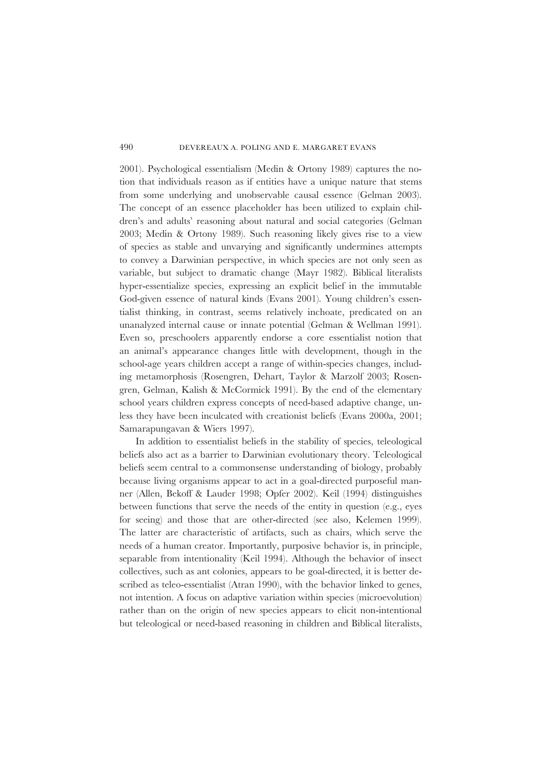2001). Psychological essentialism (Medin & Ortony 1989) captures the notion that individuals reason as if entities have a unique nature that stems from some underlying and unobservable causal essence (Gelman 2003). The concept of an essence placeholder has been utilized to explain children's and adults' reasoning about natural and social categories (Gelman 2003; Medin & Ortony 1989). Such reasoning likely gives rise to a view of species as stable and unvarying and significantly undermines attempts to convey a Darwinian perspective, in which species are not only seen as variable, but subject to dramatic change (Mayr 1982). Biblical literalists hyper-essentialize species, expressing an explicit belief in the immutable God-given essence of natural kinds (Evans 2001). Young children's essentialist thinking, in contrast, seems relatively inchoate, predicated on an unanalyzed internal cause or innate potential (Gelman & Wellman 1991). Even so, preschoolers apparently endorse a core essentialist notion that an animal's appearance changes little with development, though in the school-age years children accept a range of within-species changes, including metamorphosis (Rosengren, Dehart, Taylor & Marzolf 2003; Rosengren, Gelman, Kalish & McCormick 1991). By the end of the elementary school years children express concepts of need-based adaptive change, unless they have been inculcated with creationist beliefs (Evans 2000a, 2001; Samarapungavan & Wiers 1997).

In addition to essentialist beliefs in the stability of species, teleological beliefs also act as a barrier to Darwinian evolutionary theory. Teleological beliefs seem central to a commonsense understanding of biology, probably because living organisms appear to act in a goal-directed purposeful manner (Allen, Bekoff & Lauder 1998; Opfer 2002). Keil (1994) distinguishes between functions that serve the needs of the entity in question (e.g., eyes for seeing) and those that are other-directed (see also, Kelemen 1999). The latter are characteristic of artifacts, such as chairs, which serve the needs of a human creator. Importantly, purposive behavior is, in principle, separable from intentionality (Keil 1994). Although the behavior of insect collectives, such as ant colonies, appears to be goal-directed, it is better described as teleo-essentialist (Atran 1990), with the behavior linked to genes, not intention. A focus on adaptive variation within species (microevolution) rather than on the origin of new species appears to elicit non-intentional but teleological or need-based reasoning in children and Biblical literalists,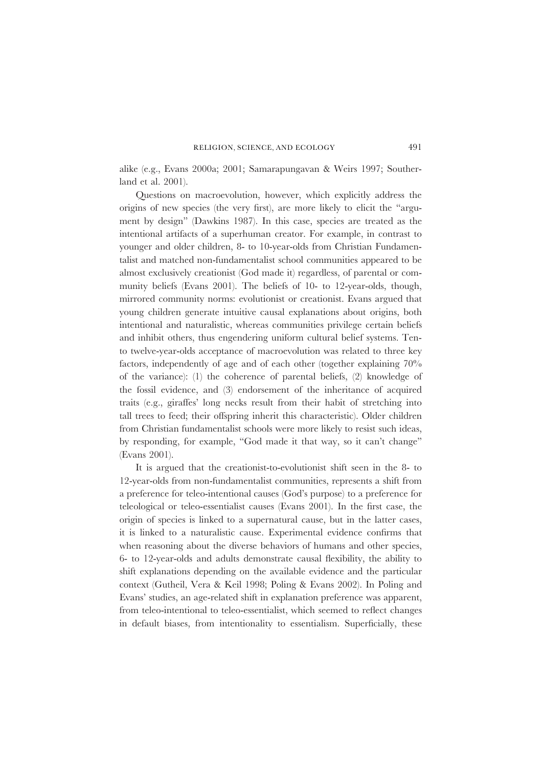alike (e.g., Evans 2000a; 2001; Samarapungavan & Weirs 1997; Southerland et al. 2001).

Questions on macroevolution, however, which explicitly address the origins of new species (the very first), are more likely to elicit the "argument by design" (Dawkins 1987). In this case, species are treated as the intentional artifacts of a superhuman creator. For example, in contrast to younger and older children, 8- to 10-year-olds from Christian Fundamentalist and matched non-fundamentalist school communities appeared to be almost exclusively creationist (God made it) regardless, of parental or community beliefs (Evans 2001). The beliefs of 10- to 12-year-olds, though, mirrored community norms: evolutionist or creationist. Evans argued that young children generate intuitive causal explanations about origins, both intentional and naturalistic, whereas communities privilege certain beliefs and inhibit others, thus engendering uniform cultural belief systems. Tento twelve-year-olds acceptance of macroevolution was related to three key factors, independently of age and of each other (together explaining 70% of the variance): (1) the coherence of parental beliefs, (2) knowledge of the fossil evidence, and (3) endorsement of the inheritance of acquired traits (e.g., giraffes' long necks result from their habit of stretching into tall trees to feed; their offspring inherit this characteristic). Older children from Christian fundamentalist schools were more likely to resist such ideas, by responding, for example, "God made it that way, so it can't change" (Evans 2001).

It is argued that the creationist-to-evolutionist shift seen in the 8- to 12-year-olds from non-fundamentalist communities, represents a shift from a preference for teleo-intentional causes (God's purpose) to a preference for teleological or teleo-essentialist causes (Evans 2001). In the first case, the origin of species is linked to a supernatural cause, but in the latter cases, it is linked to a naturalistic cause. Experimental evidence confirms that when reasoning about the diverse behaviors of humans and other species, 6- to 12-year-olds and adults demonstrate causal flexibility, the ability to shift explanations depending on the available evidence and the particular context (Gutheil, Vera & Keil 1998; Poling & Evans 2002). In Poling and Evans' studies, an age-related shift in explanation preference was apparent, from teleo-intentional to teleo-essentialist, which seemed to reflect changes in default biases, from intentionality to essentialism. Superficially, these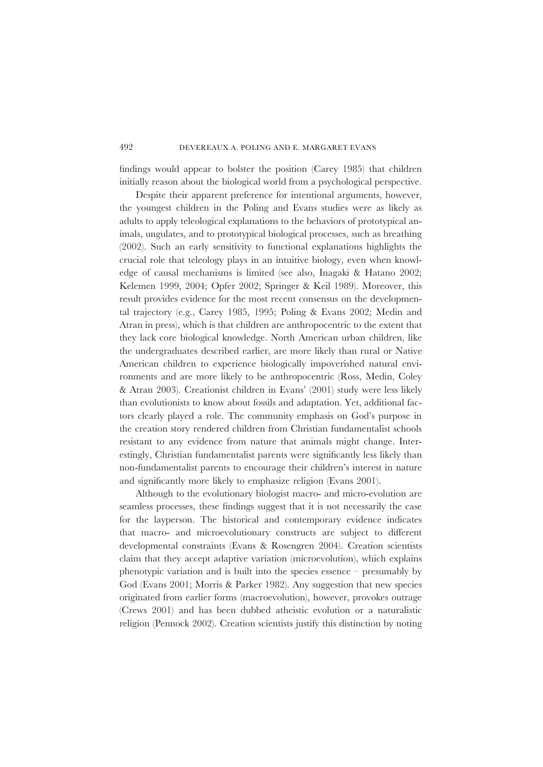findings would appear to bolster the position (Carey 1985) that children initially reason about the biological world from a psychological perspective.

Despite their apparent preference for intentional arguments, however, the youngest children in the Poling and Evans studies were as likely as adults to apply teleological explanations to the behaviors of prototypical animals, ungulates, and to prototypical biological processes, such as breathing (2002). Such an early sensitivity to functional explanations highlights the crucial role that teleology plays in an intuitive biology, even when knowledge of causal mechanisms is limited (see also, Inagaki & Hatano 2002; Kelemen 1999, 2004; Opfer 2002; Springer & Keil 1989). Moreover, this result provides evidence for the most recent consensus on the developmental trajectory (e.g., Carey 1985, 1995; Poling & Evans 2002; Medin and Atran in press), which is that children are anthropocentric to the extent that they lack core biological knowledge. North American urban children, like the undergraduates described earlier, are more likely than rural or Native American children to experience biologically impoverished natural environments and are more likely to be anthropocentric (Ross, Medin, Coley & Atran 2003). Creationist children in Evans' (2001) study were less likely than evolutionists to know about fossils and adaptation. Yet, additional factors clearly played a role. The community emphasis on God's purpose in the creation story rendered children from Christian fundamentalist schools resistant to any evidence from nature that animals might change. Interestingly, Christian fundamentalist parents were significantly less likely than non-fundamentalist parents to encourage their children's interest in nature and significantly more likely to emphasize religion (Evans 2001).

Although to the evolutionary biologist macro- and micro-evolution are seamless processes, these findings suggest that it is not necessarily the case for the layperson. The historical and contemporary evidence indicates that macro- and microevolutionary constructs are subject to different developmental constraints (Evans & Rosengren 2004). Creation scientists claim that they accept adaptive variation (microevolution), which explains phenotypic variation and is built into the species essence  $-$  presumably by God (Evans 2001; Morris & Parker 1982). Any suggestion that new species originated from earlier forms (macroevolution), however, provokes outrage (Crews 2001) and has been dubbed atheistic evolution or a naturalistic religion (Pennock 2002). Creation scientists justify this distinction by noting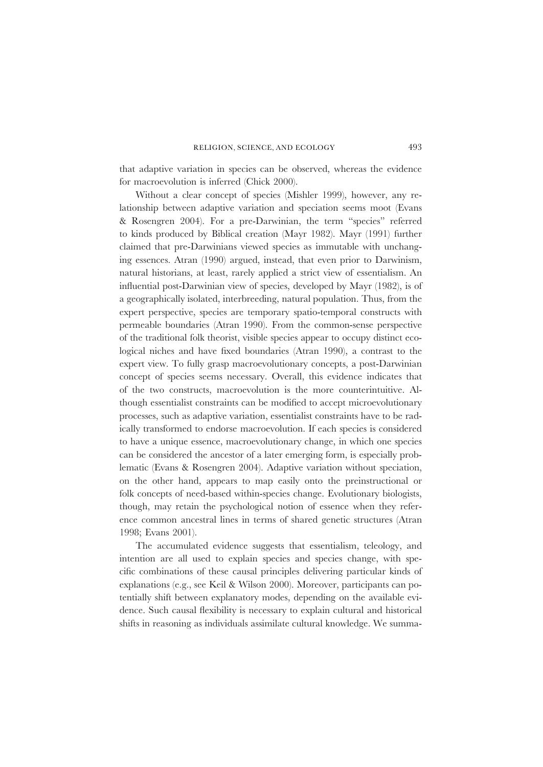that adaptive variation in species can be observed, whereas the evidence for macroevolution is inferred (Chick 2000).

Without a clear concept of species (Mishler 1999), however, any relationship between adaptive variation and speciation seems moot (Evans & Rosengren 2004). For a pre-Darwinian, the term "species" referred to kinds produced by Biblical creation (Mayr 1982). Mayr (1991) further claimed that pre-Darwinians viewed species as immutable with unchanging essences. Atran (1990) argued, instead, that even prior to Darwinism, natural historians, at least, rarely applied a strict view of essentialism. An influential post-Darwinian view of species, developed by Mayr (1982), is of a geographically isolated, interbreeding, natural population. Thus, from the expert perspective, species are temporary spatio-temporal constructs with permeable boundaries (Atran 1990). From the common-sense perspective of the traditional folk theorist, visible species appear to occupy distinct ecological niches and have fixed boundaries (Atran 1990), a contrast to the expert view. To fully grasp macroevolutionary concepts, a post-Darwinian concept of species seems necessary. Overall, this evidence indicates that of the two constructs, macroevolution is the more counterintuitive. Although essentialist constraints can be modified to accept microevolutionary processes, such as adaptive variation, essentialist constraints have to be radically transformed to endorse macroevolution. If each species is considered to have a unique essence, macroevolutionary change, in which one species can be considered the ancestor of a later emerging form, is especially problematic (Evans & Rosengren 2004). Adaptive variation without speciation, on the other hand, appears to map easily onto the preinstructional or folk concepts of need-based within-species change. Evolutionary biologists, though, may retain the psychological notion of essence when they reference common ancestral lines in terms of shared genetic structures (Atran 1998; Evans 2001).

The accumulated evidence suggests that essentialism, teleology, and intention are all used to explain species and species change, with specific combinations of these causal principles delivering particular kinds of explanations (e.g., see Keil & Wilson 2000). Moreover, participants can potentially shift between explanatory modes, depending on the available evidence. Such causal flexibility is necessary to explain cultural and historical shifts in reasoning as individuals assimilate cultural knowledge. We summa-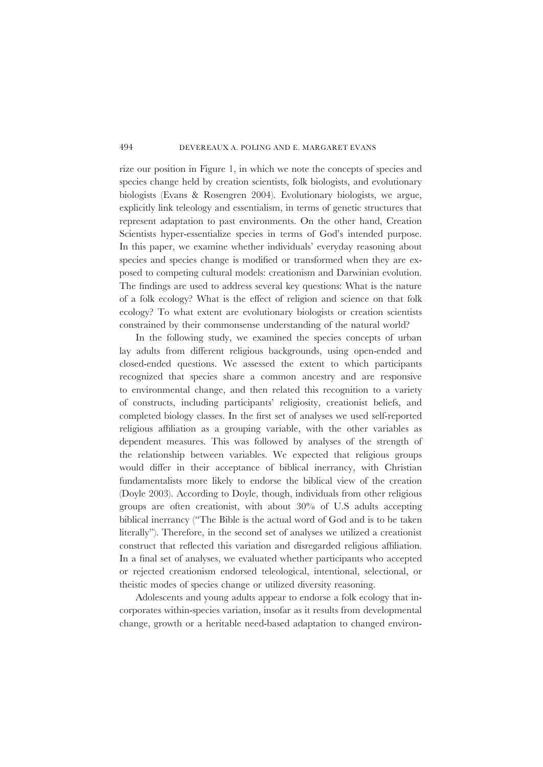rize our position in Figure 1, in which we note the concepts of species and species change held by creation scientists, folk biologists, and evolutionary biologists (Evans & Rosengren 2004). Evolutionary biologists, we argue, explicitly link teleology and essentialism, in terms of genetic structures that represent adaptation to past environments. On the other hand, Creation Scientists hyper-essentialize species in terms of God's intended purpose. In this paper, we examine whether individuals' everyday reasoning about species and species change is modified or transformed when they are exposed to competing cultural models: creationism and Darwinian evolution. The findings are used to address several key questions: What is the nature of a folk ecology? What is the effect of religion and science on that folk ecology? To what extent are evolutionary biologists or creation scientists constrained by their commonsense understanding of the natural world?

In the following study, we examined the species concepts of urban lay adults from different religious backgrounds, using open-ended and closed-ended questions. We assessed the extent to which participants recognized that species share a common ancestry and are responsive to environmental change, and then related this recognition to a variety of constructs, including participants' religiosity, creationist beliefs, and completed biology classes. In the first set of analyses we used self-reported religious affiliation as a grouping variable, with the other variables as dependent measures. This was followed by analyses of the strength of the relationship between variables. We expected that religious groups would differ in their acceptance of biblical inerrancy, with Christian fundamentalists more likely to endorse the biblical view of the creation (Doyle 2003). According to Doyle, though, individuals from other religious groups are often creationist, with about 30% of U.S adults accepting biblical inerrancy ("The Bible is the actual word of God and is to be taken literally"). Therefore, in the second set of analyses we utilized a creationist construct that reflected this variation and disregarded religious affiliation. In a final set of analyses, we evaluated whether participants who accepted or rejected creationism endorsed teleological, intentional, selectional, or theistic modes of species change or utilized diversity reasoning.

Adolescents and young adults appear to endorse a folk ecology that incorporates within-species variation, insofar as it results from developmental change, growth or a heritable need-based adaptation to changed environ-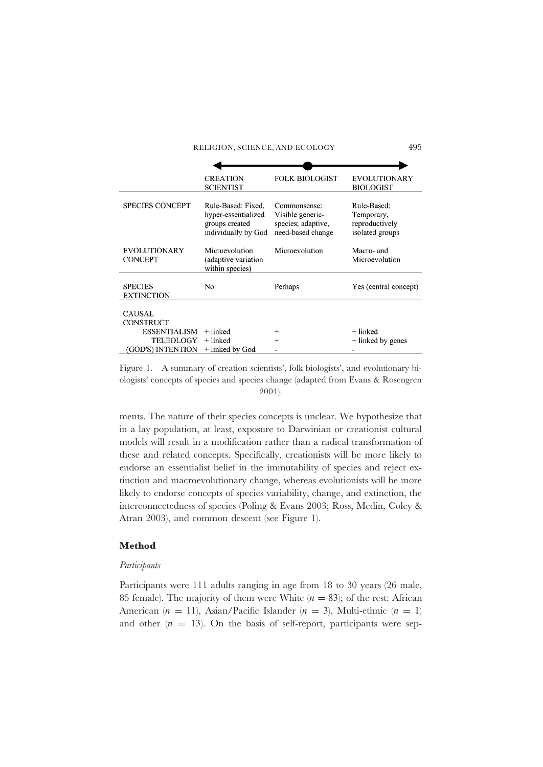|                                       | <b>CREATION</b><br><b>SCIENTIST</b>                                                | <b>FOLK BIOLOGIST</b>                                                       | <b>EVOLUTIONARY</b><br><b>BIOLOGIST</b>                        |
|---------------------------------------|------------------------------------------------------------------------------------|-----------------------------------------------------------------------------|----------------------------------------------------------------|
| <b>SPECIES CONCEPT</b>                | Rule-Based: Fixed.<br>hyper-essentialized<br>groups created<br>individually by God | Commonsense:<br>Visible generic-<br>species; adaptive,<br>need-based change | Rule-Based:<br>Temporary,<br>reproductively<br>isolated groups |
| <b>EVOLUTIONARY</b><br><b>CONCEPT</b> | Microevolution<br>(adaptive variation<br>within species)                           | Microevolution                                                              | Macro- and<br>Microevolution                                   |
| <b>SPECIES</b><br><b>EXTINCTION</b>   | No                                                                                 | Perhaps                                                                     | Yes (central concept)                                          |
| <b>CAUSAL</b><br><b>CONSTRUCT</b>     |                                                                                    |                                                                             |                                                                |
| <b>ESSENTIALISM</b>                   | + linked                                                                           | $\div$                                                                      | + linked                                                       |
| <b>TELEOLOGY</b>                      | + linked                                                                           | $^{+}$                                                                      | + linked by genes                                              |
| (GOD'S) INTENTION                     | + linked by God                                                                    |                                                                             |                                                                |

Figure 1. A summary of creation scientists', folk biologists', and evolutionary biologists' concepts of species and species change (adapted from Evans & Rosengren  $2004$ ).

ments. The nature of their species concepts is unclear. We hypothesize that in a lay population, at least, exposure to Darwinian or creationist cultural models will result in a modification rather than a radical transformation of these and related concepts. Specifically, creationists will be more likely to endorse an essentialist belief in the immutability of species and reject extinction and macroevolutionary change, whereas evolutionists will be more likely to endorse concepts of species variability, change, and extinction, the interconnectedness of species (Poling & Evans 2003; Ross, Medin, Coley & Atran 2003), and common descent (see Figure 1).

## **Method**

## Participants

Participants were 111 adults ranging in age from 18 to 30 years (26 male, 85 female). The majority of them were White  $(n = 83)$ ; of the rest: African American (*n* = 11), Asian/Pacific Islander (*n* = 3), Multi-ethnic (*n* = 1) and other  $(n = 13)$ . On the basis of self-report, participants were sep-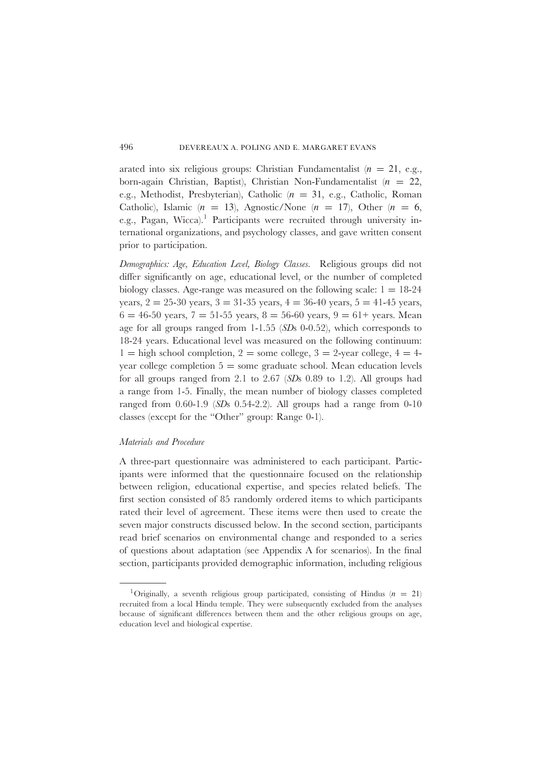arated into six religious groups: Christian Fundamentalist  $(n = 21, e.g.,$ born-again Christian, Baptist), Christian Non-Fundamentalist ( $n = 22$ , e.g., Methodist, Presbyterian), Catholic  $(n = 31, e.g.,$  Catholic, Roman Catholic), Islamic ( $n = 13$ ), Agnostic/None ( $n = 17$ ), Other ( $n = 6$ , e.g., Pagan, Wicca).<sup>1</sup> Participants were recruited through university international organizations, and psychology classes, and gave written consent prior to participation.

Demographics: Age, Education Level, Biology Classes. Religious groups did not differ significantly on age, educational level, or the number of completed biology classes. Age-range was measured on the following scale:  $1 = 18-24$ years,  $2 = 25-30$  years,  $3 = 31-35$  years,  $4 = 36-40$  years,  $5 = 41-45$  years,  $6 = 46-50$  years,  $7 = 51-55$  years,  $8 = 56-60$  years,  $9 = 61 +$  years. Mean age for all groups ranged from  $1-1.55$  ( $SDs$  0-0.52), which corresponds to 18-24 years. Educational level was measured on the following continuum:  $1 =$  high school completion,  $2 =$  some college,  $3 = 2$ -year college,  $4 = 4$ year college completion  $5 =$ some graduate school. Mean education levels for all groups ranged from 2.1 to  $2.67$  ( $SDs$  0.89 to 1.2). All groups had a range from 1-5. Finally, the mean number of biology classes completed ranged from  $0.60$ -1.9 (SDs  $0.54$ -2.2). All groups had a range from  $0$ -10 classes (except for the "Other" group: Range 0-1).

## Materials and Procedure

A three-part questionnaire was administered to each participant. Participants were informed that the questionnaire focused on the relationship between religion, educational expertise, and species related beliefs. The first section consisted of 85 randomly ordered items to which participants rated their level of agreement. These items were then used to create the seven major constructs discussed below. In the second section, participants read brief scenarios on environmental change and responded to a series of questions about adaptation (see Appendix A for scenarios). In the final section, participants provided demographic information, including religious

<sup>&</sup>lt;sup>1</sup>Originally, a seventh religious group participated, consisting of Hindus ( $n = 21$ ) recruited from a local Hindu temple. They were subsequently excluded from the analyses because of significant differences between them and the other religious groups on age, education level and biological expertise.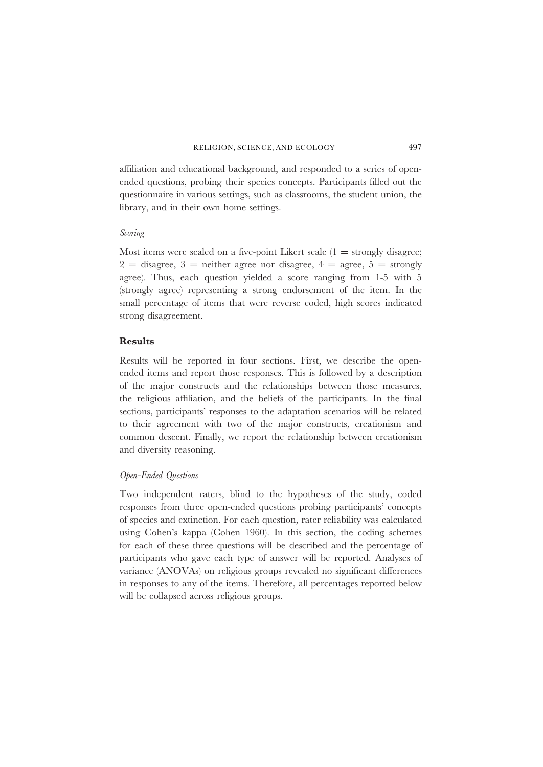affiliation and educational background, and responded to a series of openended questions, probing their species concepts. Participants filled out the questionnaire in various settings, such as classrooms, the student union, the library, and in their own home settings.

# Scoring

Most items were scaled on a five-point Likert scale  $(1 =$  strongly disagree;  $2 =$  disagree,  $3 =$  neither agree nor disagree,  $4 =$  agree,  $5 =$  strongly agree). Thus, each question yielded a score ranging from 1-5 with 5 (strongly agree) representing a strong endorsement of the item. In the small percentage of items that were reverse coded, high scores indicated strong disagreement.

# **Results**

Results will be reported in four sections. First, we describe the openended items and report those responses. This is followed by a description of the major constructs and the relationships between those measures, the religious affiliation, and the beliefs of the participants. In the final sections, participants' responses to the adaptation scenarios will be related to their agreement with two of the major constructs, creationism and common descent. Finally, we report the relationship between creationism and diversity reasoning.

# Open-Ended Questions

Two independent raters, blind to the hypotheses of the study, coded responses from three open-ended questions probing participants' concepts of species and extinction. For each question, rater reliability was calculated using Cohen's kappa (Cohen 1960). In this section, the coding schemes for each of these three questions will be described and the percentage of participants who gave each type of answer will be reported. Analyses of variance (ANOVAs) on religious groups revealed no significant differences in responses to any of the items. Therefore, all percentages reported below will be collapsed across religious groups.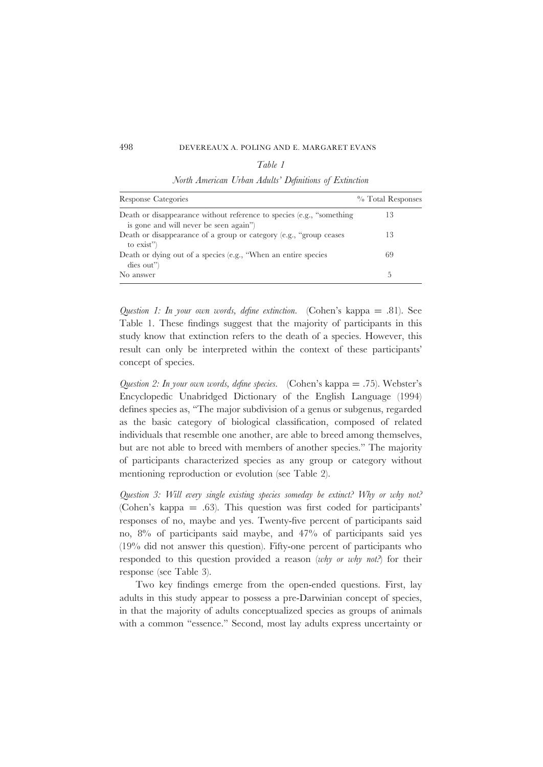## Table 1

| Response Categories                                                                                                | % Total Responses |
|--------------------------------------------------------------------------------------------------------------------|-------------------|
| Death or disappearance without reference to species $(e.g., "something"$<br>is gone and will never be seen again") | 13                |
| Death or disappearance of a group or category (e.g., "group ceases"<br>to $exist"$                                 | 13                |
| Death or dying out of a species (e.g., "When an entire species"<br>dies out")                                      | 69                |
| No answer                                                                                                          | .5                |

North American Urban Adults' Definitions of Extinction

Question 1: In your own words, define extinction. (Cohen's kappa = .81). See Table 1. These findings suggest that the majority of participants in this study know that extinction refers to the death of a species. However, this result can only be interpreted within the context of these participants' concept of species.

Question 2: In your own words, define species. (Cohen's kappa = .75). Webster's Encyclopedic Unabridged Dictionary of the English Language (1994) defines species as, "The major subdivision of a genus or subgenus, regarded as the basic category of biological classification, composed of related individuals that resemble one another, are able to breed among themselves, but are not able to breed with members of another species." The majority of participants characterized species as any group or category without mentioning reproduction or evolution (see Table 2).

Question 3: Will every single existing species someday be extinct? Why or why not? (Cohen's kappa = .63). This question was first coded for participants' responses of no, maybe and yes. Twenty-five percent of participants said no, 8% of participants said maybe, and 47% of participants said yes  $(19\%$  did not answer this question). Fifty-one percent of participants who responded to this question provided a reason (why or why not?) for their response (see Table 3).

Two key findings emerge from the open-ended questions. First, lay adults in this study appear to possess a pre-Darwinian concept of species, in that the majority of adults conceptualized species as groups of animals with a common "essence." Second, most lay adults express uncertainty or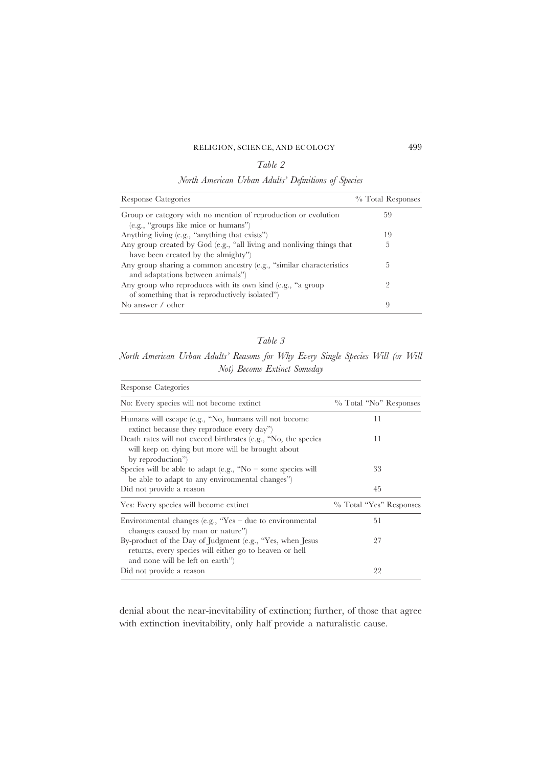## Table 2

| Response Categories                                                                                          | % Total Responses |
|--------------------------------------------------------------------------------------------------------------|-------------------|
| Group or category with no mention of reproduction or evolution<br>(e.g., "groups like mice or humans")       | 59                |
| Anything living (e.g., "anything that exists")                                                               | 19                |
| Any group created by God (e.g., "all living and nonliving things that<br>have been created by the almighty") | C.                |
| Any group sharing a common ancestry (e.g., "similar characteristics"<br>and adaptations between animals")    | C.                |
| Any group who reproduces with its own kind (e.g., "a group<br>of something that is reproductively isolated") |                   |
| No answer $\prime$ other                                                                                     | 9                 |

# North American Urban Adults' Definitions of Species

Table 3

North American Urban Adults' Reasons for Why Every Single Species Will (or Will Not) Become Extinct Someday

| Response Categories                                                                                                                                      |                         |
|----------------------------------------------------------------------------------------------------------------------------------------------------------|-------------------------|
| No: Every species will not become extinct                                                                                                                | % Total "No" Responses  |
| Humans will escape (e.g., "No, humans will not become<br>extinct because they reproduce every day")                                                      | 11                      |
| Death rates will not exceed birthrates (e.g., "No, the species"<br>will keep on dying but more will be brought about<br>by reproduction"                 | 11                      |
| Species will be able to adapt (e.g., "No $-$ some species will<br>be able to adapt to any environmental changes")                                        | 33                      |
| Did not provide a reason                                                                                                                                 | 45                      |
| Yes: Every species will become extinct                                                                                                                   | % Total "Yes" Responses |
| Environmental changes (e.g., "Yes $-$ due to environmental<br>changes caused by man or nature")                                                          | 51                      |
| By-product of the Day of Judgment (e.g., "Yes, when Jesus<br>returns, every species will either go to heaven or hell<br>and none will be left on earth") | 27                      |
| Did not provide a reason                                                                                                                                 | 22                      |

denial about the near-inevitability of extinction; further, of those that agree with extinction inevitability, only half provide a naturalistic cause.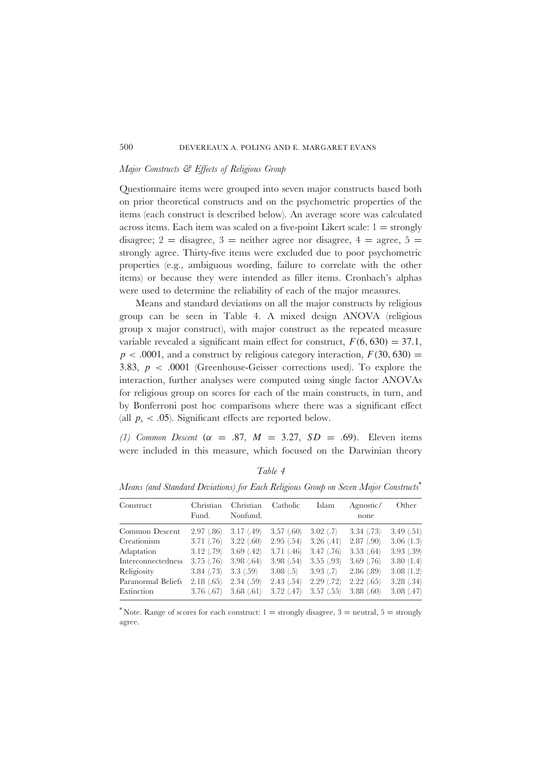# Major Constructs & Effects of Religious Group

Questionnaire items were grouped into seven major constructs based both on prior theoretical constructs and on the psychometric properties of the items (each construct is described below). An average score was calculated across items. Each item was scaled on a five-point Likert scale:  $1 =$  strongly disagree; 2 = disagree, 3 = neither agree nor disagree, 4 = agree, 5 = strongly agree. Thirty-five items were excluded due to poor psychometric properties (e.g., ambiguous wording, failure to correlate with the other items) or because they were intended as filler items. Cronbach's alphas were used to determine the reliability of each of the major measures.

Means and standard deviations on all the major constructs by religious group can be seen in Table 4. A mixed design ANOVA (religious group x major construct), with major construct as the repeated measure variable revealed a significant main effect for construct,  $F(6, 630) = 37.1$ ,  $p < .0001$ , and a construct by religious category interaction,  $F(30, 630) =$ 3.83,  $p < .0001$  (Greenhouse-Geisser corrections used). To explore the interaction, further analyses were computed using single factor ANOVAs for religious group on scores for each of the main constructs, in turn, and by Bonferroni post hoc comparisons where there was a significant effect (all  $p_s < .05$ ). Significant effects are reported below.

(1) Common Descent ( $\alpha = .87$ ,  $M = 3.27$ ,  $SD = .69$ ). Eleven items were included in this measure, which focused on the Darwinian theory

| Construct          | Christian<br>Fund. | Christian<br>Nonfund. | Catholic  | Islam     | Agnostic/<br>none | Other     |
|--------------------|--------------------|-----------------------|-----------|-----------|-------------------|-----------|
| Common Descent     | 2.97(.86)          | 3.17(.49)             | 3.57(.60) | 3.02(.7)  | 3.34(.73)         | 3.49(.51) |
| Creationism        | 3.71(.76)          | 3.22(.60)             | 2.95(.54) | 3.26(.41) | 2.87(.90)         | 3.06(1.3) |
| Adaptation         | 3.12(.79)          | 3.69(0.42)            | 3.71(.46) | 3.47(.76) | 3.53(.64)         | 3.93(.39) |
| Interconnectedness | 3.75(.76)          | 3.98(.64)             | 3.98(.54) | 3.55(.93) | 3.69(.76)         | 3.80(1.4) |
| Religiosity        | 3.84(0.73)         | 3.3(0.59)             | 3.08(.5)  | 3.93(.7)  | 2.86(.89)         | 3.08(1.2) |
| Paranormal Beliefs | 2.18(.65)          | 2.34(.59)             | 2.43(.54) | 2.29(.72) | 2.22(.65)         | 3.28(.34) |
| Extinction         | 3.76(.67)          | 3.68(.61)             | 3.72(.47) | 3.57(.55) | 3.88(.60)         | 3.08(.47) |

Table 4 Means (and Standard Deviations) for Each Religious Group on Seven Major Constructs\*

\*Note. Range of scores for each construct:  $1 =$  strongly disagree,  $3 =$  neutral,  $5 =$  strongly agree.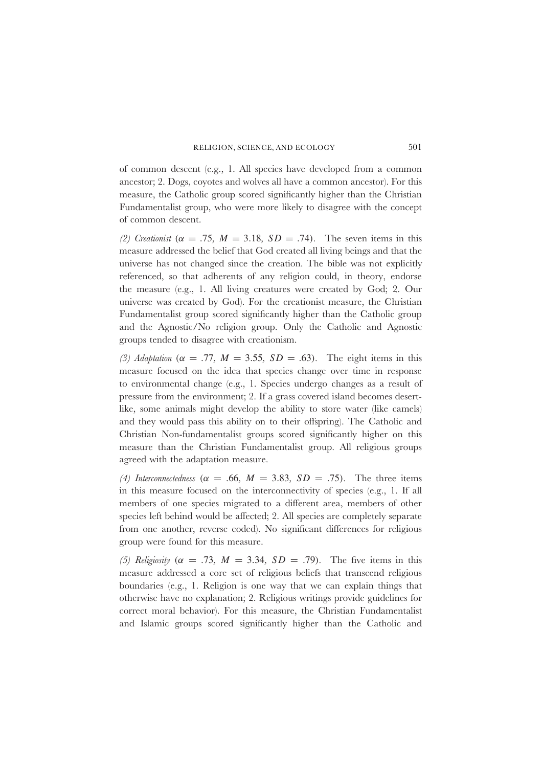of common descent (e.g., 1. All species have developed from a common ancestor; 2. Dogs, coyotes and wolves all have a common ancestor). For this measure, the Catholic group scored significantly higher than the Christian Fundamentalist group, who were more likely to disagree with the concept of common descent.

(2) Creationist ( $\alpha = .75$ ,  $M = 3.18$ ,  $SD = .74$ ). The seven items in this measure addressed the belief that God created all living beings and that the universe has not changed since the creation. The bible was not explicitly referenced, so that adherents of any religion could, in theory, endorse the measure (e.g., 1. All living creatures were created by God; 2. Our universe was created by God). For the creationist measure, the Christian Fundamentalist group scored significantly higher than the Catholic group and the Agnostic/No religion group. Only the Catholic and Agnostic groups tended to disagree with creationism.

(3) Adaptation ( $\alpha = .77$ ,  $M = 3.55$ ,  $SD = .63$ ). The eight items in this measure focused on the idea that species change over time in response to environmental change (e.g., 1. Species undergo changes as a result of pressure from the environment; 2. If a grass covered island becomes desertlike, some animals might develop the ability to store water (like camels) and they would pass this ability on to their offspring). The Catholic and Christian Non-fundamentalist groups scored significantly higher on this measure than the Christian Fundamentalist group. All religious groups agreed with the adaptation measure.

(4) Interconnectedness ( $\alpha = .66$ ,  $M = 3.83$ ,  $SD = .75$ ). The three items in this measure focused on the interconnectivity of species (e.g., 1. If all members of one species migrated to a different area, members of other species left behind would be affected; 2. All species are completely separate from one another, reverse coded). No significant differences for religious group were found for this measure.

(5) Religiosity ( $\alpha = .73$ ,  $M = 3.34$ ,  $SD = .79$ ). The five items in this measure addressed a core set of religious beliefs that transcend religious boundaries (e.g., 1. Religion is one way that we can explain things that otherwise have no explanation; 2. Religious writings provide guidelines for correct moral behavior). For this measure, the Christian Fundamentalist and Islamic groups scored significantly higher than the Catholic and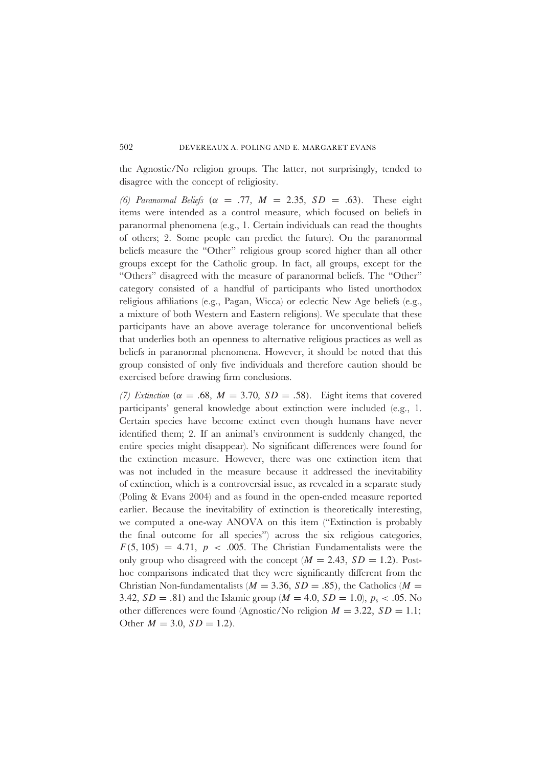the Agnostic/No religion groups. The latter, not surprisingly, tended to disagree with the concept of religiosity.

(6) Paranormal Beliefs ( $\alpha = .77$ ,  $M = 2.35$ ,  $SD = .63$ ). These eight items were intended as a control measure, which focused on beliefs in paranormal phenomena (e.g., 1. Certain individuals can read the thoughts of others; 2. Some people can predict the future). On the paranormal beliefs measure the "Other" religious group scored higher than all other groups except for the Catholic group. In fact, all groups, except for the "Others" disagreed with the measure of paranormal beliefs. The "Other" category consisted of a handful of participants who listed unorthodox religious affiliations (e.g., Pagan, Wicca) or eclectic New Age beliefs (e.g., a mixture of both Western and Eastern religions). We speculate that these participants have an above average tolerance for unconventional beliefs that underlies both an openness to alternative religious practices as well as beliefs in paranormal phenomena. However, it should be noted that this group consisted of only five individuals and therefore caution should be exercised before drawing firm conclusions.

(7) Extinction ( $\alpha = .68$ ,  $M = 3.70$ ,  $SD = .58$ ). Eight items that covered participants' general knowledge about extinction were included (e.g., 1. Certain species have become extinct even though humans have never identified them; 2. If an animal's environment is suddenly changed, the entire species might disappear). No significant differences were found for the extinction measure. However, there was one extinction item that was not included in the measure because it addressed the inevitability of extinction, which is a controversial issue, as revealed in a separate study (Poling & Evans 2004) and as found in the open-ended measure reported earlier. Because the inevitability of extinction is theoretically interesting, we computed a one-way ANOVA on this item ("Extinction is probably the final outcome for all species") across the six religious categories,  $F(5, 105) = 4.71$ ,  $p < .005$ . The Christian Fundamentalists were the only group who disagreed with the concept  $(M = 2.43, SD = 1.2)$ . Posthoc comparisons indicated that they were significantly different from the Christian Non-fundamentalists ( $M = 3.36$ ,  $SD = .85$ ), the Catholics ( $M =$ 3.42,  $SD = .81$ ) and the Islamic group ( $M = 4.0$ ,  $SD = 1.0$ ),  $p_s < .05$ . No other differences were found (Agnostic/No religion  $M = 3.22$ ,  $SD = 1.1$ ; Other  $M = 3.0$ ,  $SD = 1.2$ ).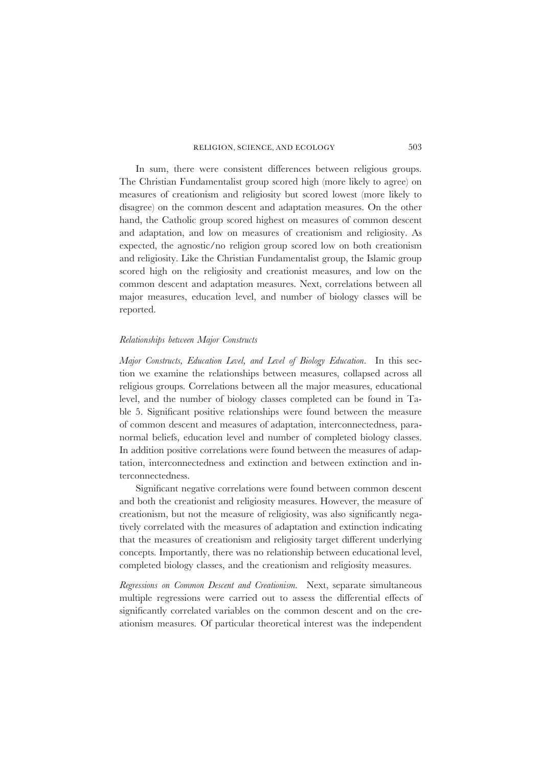In sum, there were consistent differences between religious groups. The Christian Fundamentalist group scored high (more likely to agree) on measures of creationism and religiosity but scored lowest (more likely to disagree) on the common descent and adaptation measures. On the other hand, the Catholic group scored highest on measures of common descent and adaptation, and low on measures of creationism and religiosity. As expected, the agnostic/no religion group scored low on both creationism and religiosity. Like the Christian Fundamentalist group, the Islamic group scored high on the religiosity and creationist measures, and low on the common descent and adaptation measures. Next, correlations between all major measures, education level, and number of biology classes will be reported.

## Relationships between Major Constructs

Major Constructs, Education Level, and Level of Biology Education. In this section we examine the relationships between measures, collapsed across all religious groups. Correlations between all the major measures, educational level, and the number of biology classes completed can be found in Table 5. Significant positive relationships were found between the measure of common descent and measures of adaptation, interconnectedness, paranormal beliefs, education level and number of completed biology classes. In addition positive correlations were found between the measures of adaptation, interconnectedness and extinction and between extinction and interconnectedness.

Significant negative correlations were found between common descent and both the creationist and religiosity measures. However, the measure of creationism, but not the measure of religiosity, was also significantly negatively correlated with the measures of adaptation and extinction indicating that the measures of creationism and religiosity target different underlying concepts. Importantly, there was no relationship between educational level, completed biology classes, and the creationism and religiosity measures.

Regressions on Common Descent and Creationism. Next, separate simultaneous multiple regressions were carried out to assess the differential effects of significantly correlated variables on the common descent and on the creationism measures. Of particular theoretical interest was the independent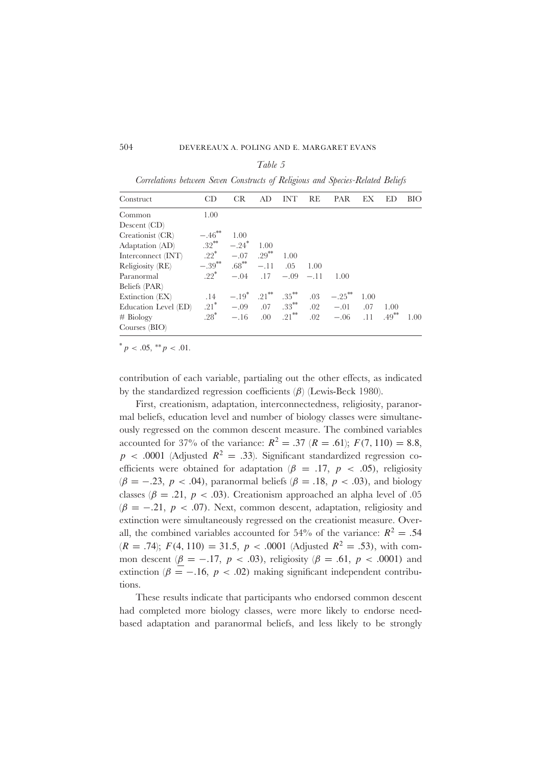## Table 5

| Construct            | CD                   | <b>CR</b>        | AD       | <b>INT</b> | RE     | <b>PAR</b>           | ЕX   | ED       | <b>BIO</b> |
|----------------------|----------------------|------------------|----------|------------|--------|----------------------|------|----------|------------|
| Common               | 1.00                 |                  |          |            |        |                      |      |          |            |
| Descent (CD)         |                      |                  |          |            |        |                      |      |          |            |
| Creationist (CR)     | $-.46$ <sup>**</sup> | 1.00             |          |            |        |                      |      |          |            |
| Adaptation (AD)      | $.32***$             | $-.24^*$         | 1.00     |            |        |                      |      |          |            |
| Interconnect (INT)   |                      | $.22^*$ -.07     | $.29***$ | 1.00       |        |                      |      |          |            |
| Religiosity (RE)     | $-.39***$            | $.68***$         | $-.11$   | .05        | 1.00   |                      |      |          |            |
| Paranormal           | $.22*$               | $-.04$           | .17      | $-.09$     | $-.11$ | 1.00                 |      |          |            |
| Beliefs (PAR)        |                      |                  |          |            |        |                      |      |          |            |
| Extinction (EX)      | .14                  | $-.19^*$         | $.21***$ | $.35***$   | .03    | $-.25$ <sup>**</sup> | 1.00 |          |            |
| Education Level (ED) |                      | $.21^*$ -.09 .07 |          | $.33***$   |        | $.02 - .01$          | .07  | 1.00     |            |
| $# \nBiology$        | $.28*$               | $-.16-.00$       |          | $.21***$   | .02    | $-.06$               | .11  | $.49***$ | 1.00       |
| Courses $(BIO)$      |                      |                  |          |            |        |                      |      |          |            |

Correlations between Seven Constructs of Religious and Species-Related Beliefs

\*  $p < .05$ , \*\*  $p < .01$ .

contribution of each variable, partialing out the other effects, as indicated by the standardized regression coefficients  $(\beta)$  (Lewis-Beck 1980).

First, creationism, adaptation, interconnectedness, religiosity, paranormal beliefs, education level and number of biology classes were simultaneously regressed on the common descent measure. The combined variables accounted for 37% of the variance:  $R^2 = .37$  ( $R = .61$ );  $F(7, 110) = 8.8$ ,  $p \lt 0.0001$  (Adjusted  $R^2 = 0.33$ ). Significant standardized regression coefficients were obtained for adaptation ( $\beta = .17$ ,  $p < .05$ ), religiosity  $(\beta = -.23, p < .04)$ , paranormal beliefs  $(\beta = .18, p < .03)$ , and biology classes ( $\beta = .21$ ,  $p < .03$ ). Creationism approached an alpha level of 0.05  $(\beta = -.21, p < .07)$ . Next, common descent, adaptation, religiosity and extinction were simultaneously regressed on the creationist measure. Overall, the combined variables accounted for 54% of the variance:  $R^2 = .54$  $(R = .74)$ ;  $F(4, 110) = 31.5$ ,  $p < .0001$  (Adjusted  $R^2 = .53$ ), with common descent ( $\beta = -.17$ ,  $p < .03$ ), religiosity ( $\beta = .61$ ,  $p < .0001$ ) and extinction ( $\beta = -.16$ ,  $p < .02$ ) making significant independent contributions.

These results indicate that participants who endorsed common descent had completed more biology classes, were more likely to endorse needbased adaptation and paranormal beliefs, and less likely to be strongly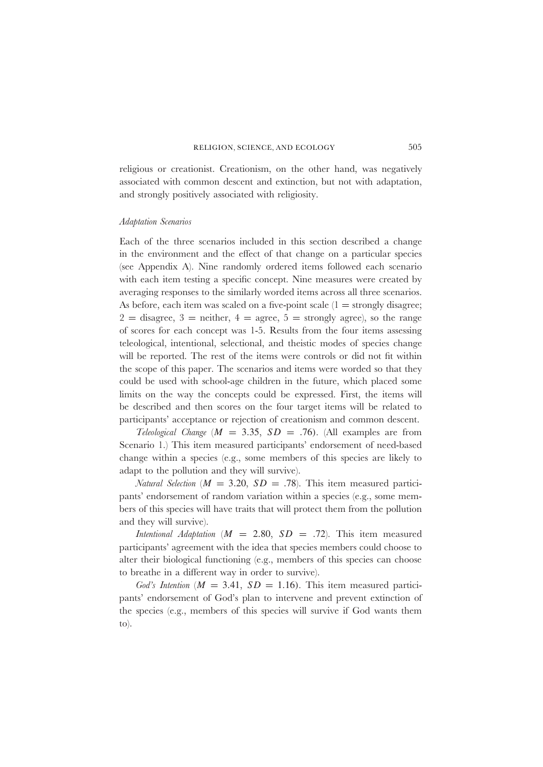religious or creationist. Creationism, on the other hand, was negatively associated with common descent and extinction, but not with adaptation, and strongly positively associated with religiosity.

## **Adaptation Scenarios**

Each of the three scenarios included in this section described a change in the environment and the effect of that change on a particular species (see Appendix A). Nine randomly ordered items followed each scenario with each item testing a specific concept. Nine measures were created by averaging responses to the similarly worded items across all three scenarios. As before, each item was scaled on a five-point scale  $(1 =$  strongly disagree;  $2 =$  disagree,  $3 =$  neither,  $4 =$  agree,  $5 =$  strongly agree), so the range of scores for each concept was 1-5. Results from the four items assessing teleological, intentional, selectional, and theistic modes of species change will be reported. The rest of the items were controls or did not fit within the scope of this paper. The scenarios and items were worded so that they could be used with school-age children in the future, which placed some limits on the way the concepts could be expressed. First, the items will be described and then scores on the four target items will be related to participants' acceptance or rejection of creationism and common descent.

Teleological Change ( $M = 3.35$ ,  $SD = .76$ ). (All examples are from Scenario 1.) This item measured participants' endorsement of need-based change within a species (e.g., some members of this species are likely to adapt to the pollution and they will survive).

Natural Selection ( $M = 3.20$ ,  $SD = .78$ ). This item measured participants' endorsement of random variation within a species (e.g., some members of this species will have traits that will protect them from the pollution and they will survive).

*Intentional Adaptation* ( $M = 2.80$ ,  $SD = .72$ ). This item measured participants' agreement with the idea that species members could choose to alter their biological functioning (e.g., members of this species can choose to breathe in a different way in order to survive).

God's Intention ( $M = 3.41$ ,  $SD = 1.16$ ). This item measured participants' endorsement of God's plan to intervene and prevent extinction of the species (e.g., members of this species will survive if God wants them to).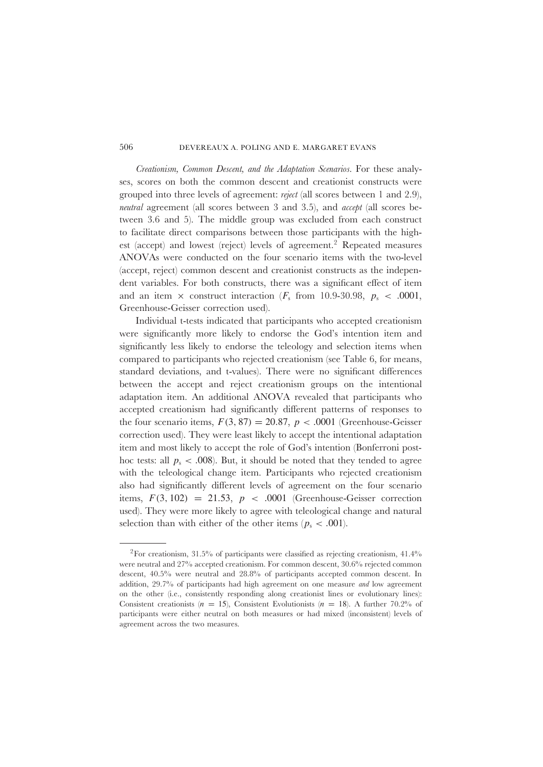#### DEVEREAUX A. POLING AND E. MARGARET EVANS

Creationism, Common Descent, and the Adaptation Scenarios. For these analyses, scores on both the common descent and creationist constructs were grouped into three levels of agreement: *reject* (all scores between 1 and 2.9), neutral agreement (all scores between 3 and 3.5), and accept (all scores between 3.6 and 5). The middle group was excluded from each construct to facilitate direct comparisons between those participants with the highest (accept) and lowest (reject) levels of agreement.<sup>2</sup> Repeated measures ANOVAs were conducted on the four scenario items with the two-level (accept, reject) common descent and creationist constructs as the independent variables. For both constructs, there was a significant effect of item and an item  $\times$  construct interaction ( $F_s$  from 10.9-30.98,  $p_s < .0001$ , Greenhouse-Geisser correction used).

Individual t-tests indicated that participants who accepted creationism were significantly more likely to endorse the God's intention item and significantly less likely to endorse the teleology and selection items when compared to participants who rejected creationism (see Table 6, for means, standard deviations, and t-values). There were no significant differences between the accept and reject creationism groups on the intentional adaptation item. An additional ANOVA revealed that participants who accepted creationism had significantly different patterns of responses to the four scenario items,  $F(3, 87) = 20.87$ ,  $p < .0001$  (Greenhouse-Geisser) correction used). They were least likely to accept the intentional adaptation item and most likely to accept the role of God's intention (Bonferroni posthoc tests: all  $p_s < .008$ ). But, it should be noted that they tended to agree with the teleological change item. Participants who rejected creationism also had significantly different levels of agreement on the four scenario items,  $F(3, 102) = 21.53$ ,  $p < .0001$  (Greenhouse-Geisser correction used). They were more likely to agree with teleological change and natural selection than with either of the other items ( $p_s < .001$ ).

506

 ${}^{2}$ For creationism, 31.5% of participants were classified as rejecting creationism, 41.4% were neutral and 27% accepted creationism. For common descent, 30.6% rejected common descent,  $40.5\%$  were neutral and  $28.8\%$  of participants accepted common descent. In addition, 29.7% of participants had high agreement on one measure *and* low agreement on the other (i.e., consistently responding along creationist lines or evolutionary lines): Consistent creationists ( $n = 15$ ), Consistent Evolutionists ( $n = 18$ ). A further 70.2% of participants were either neutral on both measures or had mixed (inconsistent) levels of agreement across the two measures.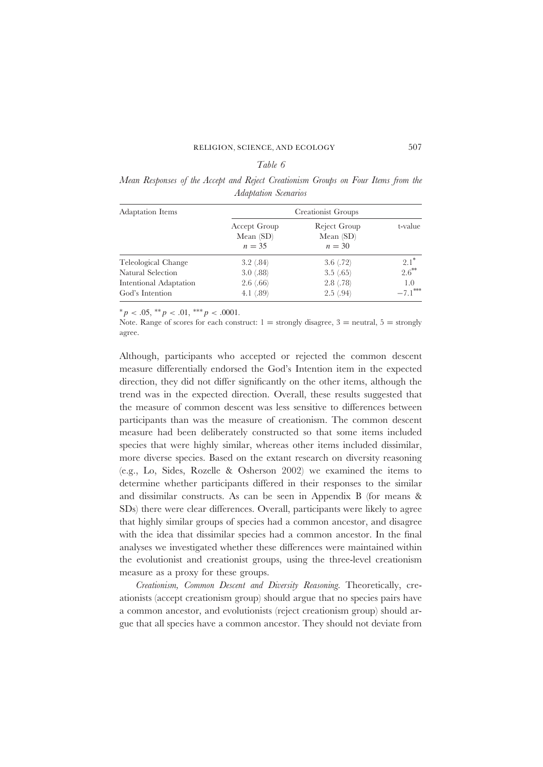## Table 6

| <b>Adaptation</b> Items | Creationist Groups                   |                                         |               |  |
|-------------------------|--------------------------------------|-----------------------------------------|---------------|--|
|                         | Accept Group<br>Mean(SD)<br>$n = 35$ | Reject Group<br>Mean $(SD)$<br>$n = 30$ | t-value       |  |
| Teleological Change     | 3.2(.84)                             | 3.6(.72)                                | $2.1^*$       |  |
| Natural Selection       | 3.0(.88)                             | 3.5(.65)                                | $2.6***$      |  |
| Intentional Adaptation  | 2.6(0.66)                            | 2.8(0.78)                               | 1.0           |  |
| God's Intention         | 4.1(.89)                             | 2.5(.94)                                | ***<br>$-7.1$ |  |

Mean Responses of the Accept and Reject Creationism Groups on Four Items from the **Adaptation Scenarios** 

\*  $p < .05$ , \*\*  $p < .01$ , \*\*\*  $p < .0001$ .

Note. Range of scores for each construct:  $1 =$  strongly disagree,  $3 =$  neutral,  $5 =$  strongly agree.

Although, participants who accepted or rejected the common descent measure differentially endorsed the God's Intention item in the expected direction, they did not differ significantly on the other items, although the trend was in the expected direction. Overall, these results suggested that the measure of common descent was less sensitive to differences between participants than was the measure of creationism. The common descent measure had been deliberately constructed so that some items included species that were highly similar, whereas other items included dissimilar, more diverse species. Based on the extant research on diversity reasoning (e.g., Lo, Sides, Rozelle & Osherson 2002) we examined the items to determine whether participants differed in their responses to the similar and dissimilar constructs. As can be seen in Appendix B (for means & SDs) there were clear differences. Overall, participants were likely to agree that highly similar groups of species had a common ancestor, and disagree with the idea that dissimilar species had a common ancestor. In the final analyses we investigated whether these differences were maintained within the evolutionist and creationist groups, using the three-level creationism measure as a proxy for these groups.

Creationism, Common Descent and Diversity Reasoning. Theoretically, creationists (accept creationism group) should argue that no species pairs have a common ancestor, and evolutionists (reject creationism group) should argue that all species have a common ancestor. They should not deviate from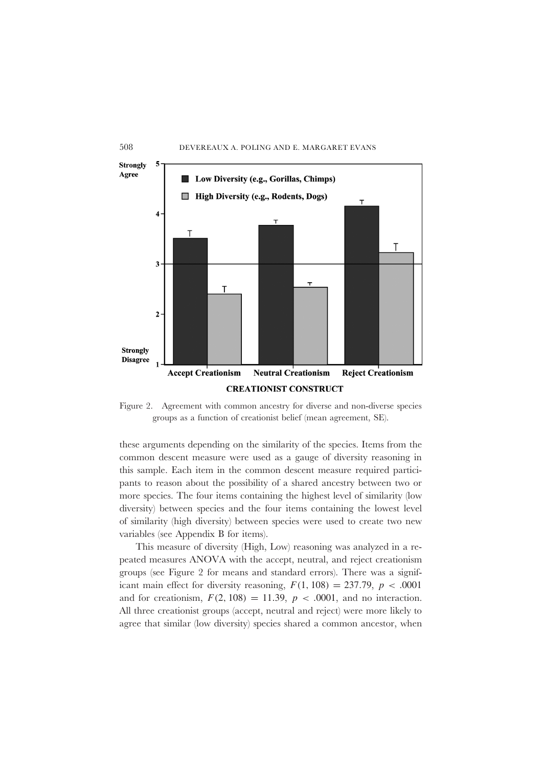

Agreement with common ancestry for diverse and non-diverse species Figure 2. groups as a function of creationist belief (mean agreement, SE).

these arguments depending on the similarity of the species. Items from the common descent measure were used as a gauge of diversity reasoning in this sample. Each item in the common descent measure required participants to reason about the possibility of a shared ancestry between two or more species. The four items containing the highest level of similarity (low diversity) between species and the four items containing the lowest level of similarity (high diversity) between species were used to create two new variables (see Appendix B for items).

This measure of diversity (High, Low) reasoning was analyzed in a repeated measures ANOVA with the accept, neutral, and reject creationism groups (see Figure 2 for means and standard errors). There was a significant main effect for diversity reasoning,  $F(1, 108) = 237.79$ ,  $p < .0001$ and for creationsm,  $F(2, 108) = 11.39$ ,  $p < .0001$ , and no interaction. All three creationist groups (accept, neutral and reject) were more likely to agree that similar (low diversity) species shared a common ancestor, when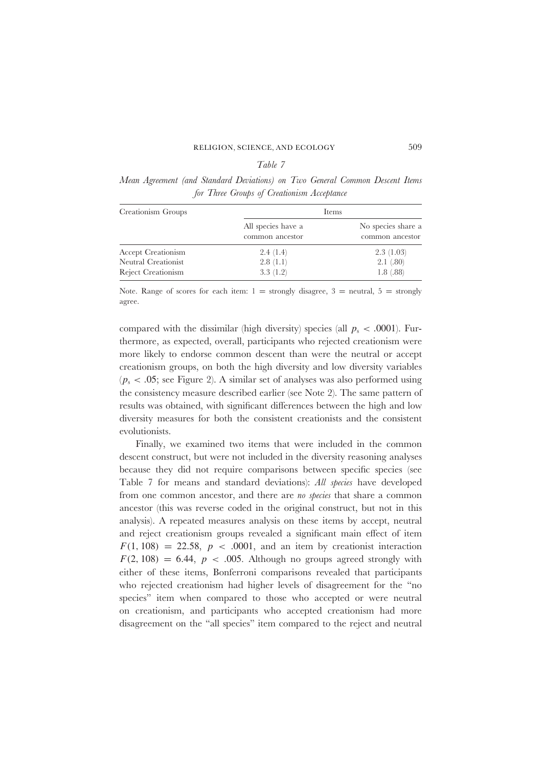## Table 7

| for <b>Three Groups</b> of Creationism Atteplante |                                       |                                       |  |  |
|---------------------------------------------------|---------------------------------------|---------------------------------------|--|--|
| Creationism Groups                                |                                       | Items                                 |  |  |
|                                                   | All species have a<br>common ancestor | No species share a<br>common ancestor |  |  |
| Accept Creationism                                | 2.4(1.4)                              | 2.3(1.03)                             |  |  |
| Neutral Creationist                               | 2.8(1.1)                              | 2.1(0.80)                             |  |  |
| Reject Creationism                                | 3.3(1.2)                              | 1.8(.88)                              |  |  |

Mean Agreement (and Standard Deviations) on Two General Common Descent Items for Three Croups of Creationism Acceptance

Note. Range of scores for each item:  $1 =$  strongly disagree,  $3 =$  neutral,  $5 =$  strongly agree.

compared with the dissimilar (high diversity) species (all  $p_s < .0001$ ). Furthermore, as expected, overall, participants who rejected creationism were more likely to endorse common descent than were the neutral or accept creationism groups, on both the high diversity and low diversity variables  $(p_s < .05;$  see Figure 2). A similar set of analyses was also performed using the consistency measure described earlier (see Note 2). The same pattern of results was obtained, with significant differences between the high and low diversity measures for both the consistent creationists and the consistent evolutionists.

Finally, we examined two items that were included in the common descent construct, but were not included in the diversity reasoning analyses because they did not require comparisons between specific species (see Table 7 for means and standard deviations): All species have developed from one common ancestor, and there are no species that share a common ancestor (this was reverse coded in the original construct, but not in this analysis). A repeated measures analysis on these items by accept, neutral and reject creationism groups revealed a significant main effect of item  $F(1, 108) = 22.58$ ,  $p < .0001$ , and an item by creationst interaction  $F(2, 108) = 6.44$ ,  $p < .005$ . Although no groups agreed strongly with either of these items, Bonferroni comparisons revealed that participants who rejected creationism had higher levels of disagreement for the "no species" item when compared to those who accepted or were neutral on creationism, and participants who accepted creationism had more disagreement on the "all species" item compared to the reject and neutral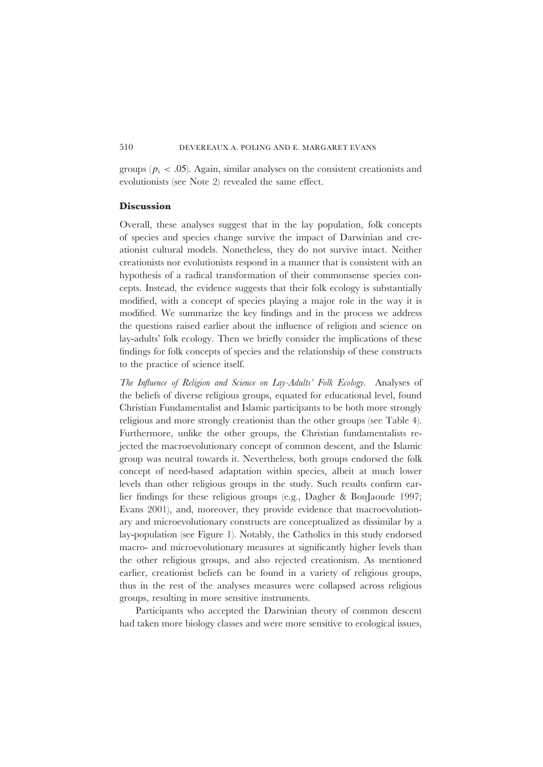groups ( $p_s < .05$ ). Again, similar analyses on the consistent creationists and evolutionists (see Note 2) revealed the same effect.

# **Discussion**

Overall, these analyses suggest that in the lay population, folk concepts of species and species change survive the impact of Darwinian and creationist cultural models. Nonetheless, they do not survive intact. Neither creationists nor evolutionists respond in a manner that is consistent with an hypothesis of a radical transformation of their commonsense species concepts. Instead, the evidence suggests that their folk ecology is substantially modified, with a concept of species playing a major role in the way it is modified. We summarize the key findings and in the process we address the questions raised earlier about the influence of religion and science on lay-adults' folk ecology. Then we briefly consider the implications of these findings for folk concepts of species and the relationship of these constructs to the practice of science itself.

The Influence of Religion and Science on Lay-Adults' Folk Ecology. Analyses of the beliefs of diverse religious groups, equated for educational level, found Christian Fundamentalist and Islamic participants to be both more strongly religious and more strongly creationist than the other groups (see Table 4). Furthermore, unlike the other groups, the Christian fundamentalists rejected the macroevolutionary concept of common descent, and the Islamic group was neutral towards it. Nevertheless, both groups endorsed the folk concept of need-based adaptation within species, albeit at much lower levels than other religious groups in the study. Such results confirm earlier findings for these religious groups (e.g., Dagher & BouJaoude 1997; Evans 2001), and, moreover, they provide evidence that macroevolutionary and microevolutionary constructs are conceptualized as dissimilar by a lay-population (see Figure 1). Notably, the Catholics in this study endorsed macro- and microevolutionary measures at significantly higher levels than the other religious groups, and also rejected creationism. As mentioned earlier, creationist beliefs can be found in a variety of religious groups, thus in the rest of the analyses measures were collapsed across religious groups, resulting in more sensitive instruments.

Participants who accepted the Darwinian theory of common descent had taken more biology classes and were more sensitive to ecological issues,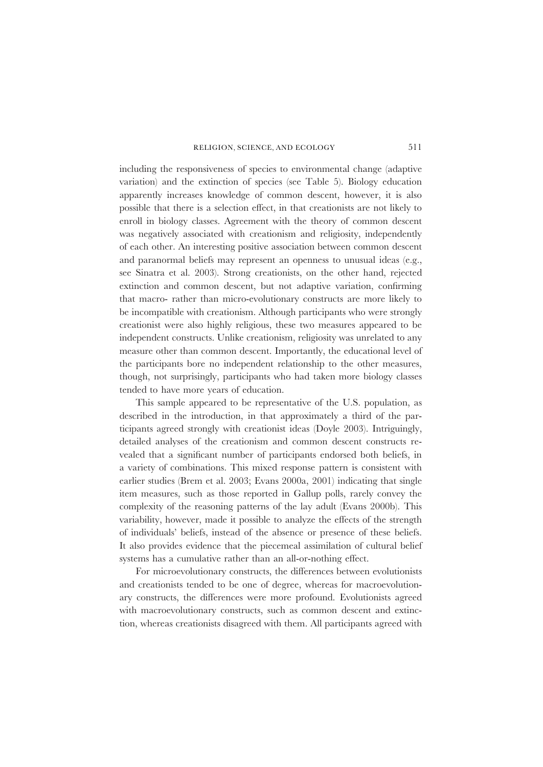including the responsiveness of species to environmental change (adaptive variation) and the extinction of species (see Table 5). Biology education apparently increases knowledge of common descent, however, it is also possible that there is a selection effect, in that creationists are not likely to enroll in biology classes. Agreement with the theory of common descent was negatively associated with creationism and religiosity, independently of each other. An interesting positive association between common descent and paranormal beliefs may represent an openness to unusual ideas (e.g., see Sinatra et al. 2003). Strong creationists, on the other hand, rejected extinction and common descent, but not adaptive variation, confirming that macro- rather than micro-evolutionary constructs are more likely to be incompatible with creationism. Although participants who were strongly creationist were also highly religious, these two measures appeared to be independent constructs. Unlike creationism, religiosity was unrelated to any measure other than common descent. Importantly, the educational level of the participants bore no independent relationship to the other measures, though, not surprisingly, participants who had taken more biology classes tended to have more years of education.

This sample appeared to be representative of the U.S. population, as described in the introduction, in that approximately a third of the participants agreed strongly with creationist ideas (Doyle 2003). Intriguingly, detailed analyses of the creationism and common descent constructs revealed that a significant number of participants endorsed both beliefs, in a variety of combinations. This mixed response pattern is consistent with earlier studies (Brem et al. 2003; Evans 2000a, 2001) indicating that single item measures, such as those reported in Gallup polls, rarely convey the complexity of the reasoning patterns of the lay adult (Evans 2000b). This variability, however, made it possible to analyze the effects of the strength of individuals' beliefs, instead of the absence or presence of these beliefs. It also provides evidence that the piecemeal assimilation of cultural belief systems has a cumulative rather than an all-or-nothing effect.

For microevolutionary constructs, the differences between evolutionists and creationists tended to be one of degree, whereas for macroevolutionary constructs, the differences were more profound. Evolutionists agreed with macroevolutionary constructs, such as common descent and extinction, whereas creationists disagreed with them. All participants agreed with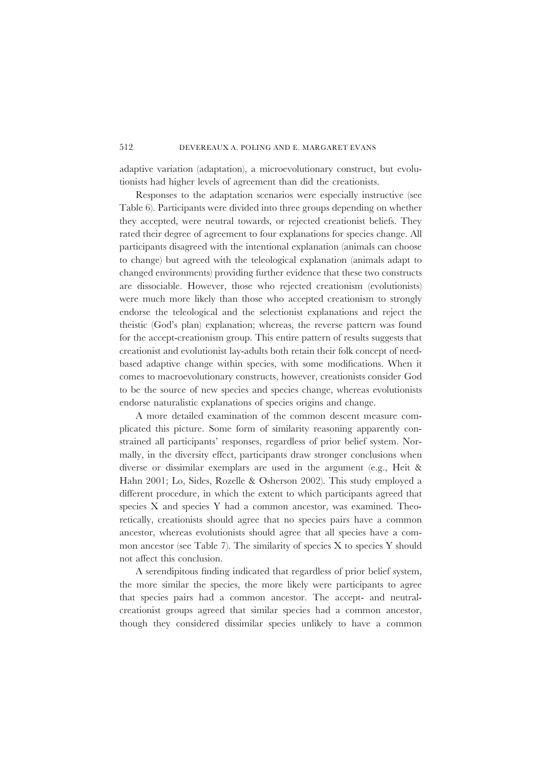adaptive variation (adaptation), a microevolutionary construct, but evolutionists had higher levels of agreement than did the creationists.

Responses to the adaptation scenarios were especially instructive (see Table 6). Participants were divided into three groups depending on whether they accepted, were neutral towards, or rejected creationist beliefs. They rated their degree of agreement to four explanations for species change. All participants disagreed with the intentional explanation (animals can choose to change) but agreed with the teleological explanation (animals adapt to changed environments) providing further evidence that these two constructs are dissociable. However, those who rejected creationism (evolutionists) were much more likely than those who accepted creationism to strongly endorse the teleological and the selectionist explanations and reject the theistic (God's plan) explanation; whereas, the reverse pattern was found for the accept-creationism group. This entire pattern of results suggests that creationist and evolutionist lay-adults both retain their folk concept of needbased adaptive change within species, with some modifications. When it comes to macroevolutionary constructs, however, creationists consider God to be the source of new species and species change, whereas evolutionists endorse naturalistic explanations of species origins and change.

A more detailed examination of the common descent measure complicated this picture. Some form of similarity reasoning apparently constrained all participants' responses, regardless of prior belief system. Normally, in the diversity effect, participants draw stronger conclusions when diverse or dissimilar exemplars are used in the argument (e.g., Heit & Hahn 2001; Lo, Sides, Rozelle & Osherson 2002). This study employed a different procedure, in which the extent to which participants agreed that species X and species Y had a common ancestor, was examined. Theoretically, creationists should agree that no species pairs have a common ancestor, whereas evolutionists should agree that all species have a common ancestor (see Table 7). The similarity of species  $X$  to species  $Y$  should not affect this conclusion.

A serendipitous finding indicated that regardless of prior belief system, the more similar the species, the more likely were participants to agree that species pairs had a common ancestor. The accept- and neutralcreationist groups agreed that similar species had a common ancestor, though they considered dissimilar species unlikely to have a common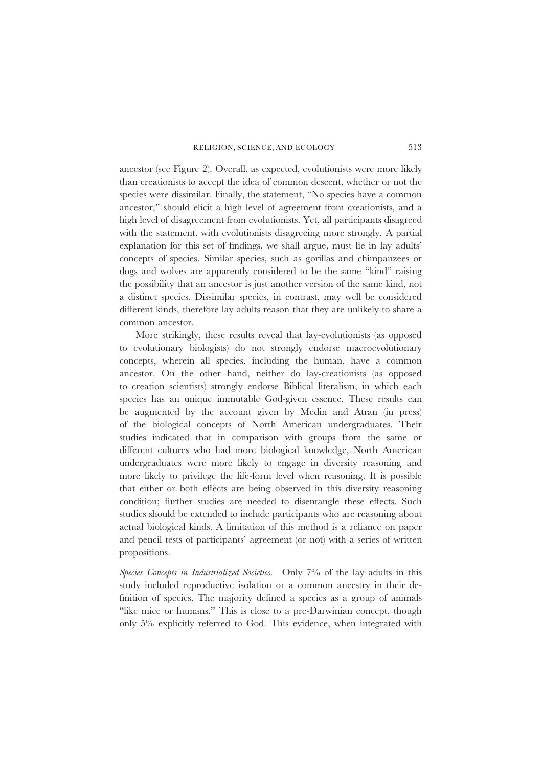ancestor (see Figure 2). Overall, as expected, evolutionists were more likely than creationists to accept the idea of common descent, whether or not the species were dissimilar. Finally, the statement, "No species have a common ancestor," should elicit a high level of agreement from creationists, and a high level of disagreement from evolutionists. Yet, all participants disagreed with the statement, with evolutionists disagreeing more strongly. A partial explanation for this set of findings, we shall argue, must lie in lay adults' concepts of species. Similar species, such as gorillas and chimpanzees or dogs and wolves are apparently considered to be the same "kind" raising the possibility that an ancestor is just another version of the same kind, not a distinct species. Dissimilar species, in contrast, may well be considered different kinds, therefore lay adults reason that they are unlikely to share a common ancestor.

More strikingly, these results reveal that lay-evolutionists (as opposed to evolutionary biologists) do not strongly endorse macroevolutionary concepts, wherein all species, including the human, have a common ancestor. On the other hand, neither do lay-creationists (as opposed to creation scientists) strongly endorse Biblical literalism, in which each species has an unique immutable God-given essence. These results can be augmented by the account given by Medin and Atran (in press) of the biological concepts of North American undergraduates. Their studies indicated that in comparison with groups from the same or different cultures who had more biological knowledge, North American undergraduates were more likely to engage in diversity reasoning and more likely to privilege the life-form level when reasoning. It is possible that either or both effects are being observed in this diversity reasoning condition; further studies are needed to disentangle these effects. Such studies should be extended to include participants who are reasoning about actual biological kinds. A limitation of this method is a reliance on paper and pencil tests of participants' agreement (or not) with a series of written propositions.

Species Concepts in Industrialized Societies. Only 7% of the lay adults in this study included reproductive isolation or a common ancestry in their definition of species. The majority defined a species as a group of animals "like mice or humans." This is close to a pre-Darwinian concept, though only 5% explicitly referred to God. This evidence, when integrated with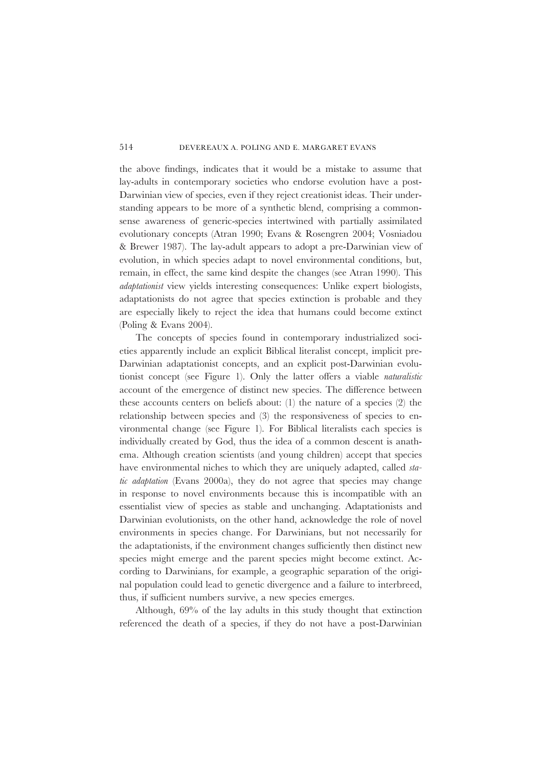the above findings, indicates that it would be a mistake to assume that lay-adults in contemporary societies who endorse evolution have a post-Darwinian view of species, even if they reject creationist ideas. Their understanding appears to be more of a synthetic blend, comprising a commonsense awareness of generic-species intertwined with partially assimilated evolutionary concepts (Atran 1990; Evans & Rosengren 2004; Vosniadou & Brewer 1987). The lay-adult appears to adopt a pre-Darwinian view of evolution, in which species adapt to novel environmental conditions, but, remain, in effect, the same kind despite the changes (see Atran 1990). This *adaptationist* view yields interesting consequences: Unlike expert biologists, adaptationists do not agree that species extinction is probable and they are especially likely to reject the idea that humans could become extinct (Poling & Evans 2004).

The concepts of species found in contemporary industrialized societies apparently include an explicit Biblical literalist concept, implicit pre-Darwinian adaptationist concepts, and an explicit post-Darwinian evolutionist concept (see Figure 1). Only the latter offers a viable naturalistic account of the emergence of distinct new species. The difference between these accounts centers on beliefs about: (1) the nature of a species (2) the relationship between species and (3) the responsiveness of species to environmental change (see Figure 1). For Biblical literalists each species is individually created by God, thus the idea of a common descent is anathema. Although creation scientists (and young children) accept that species have environmental niches to which they are uniquely adapted, called static adaptation (Evans 2000a), they do not agree that species may change in response to novel environments because this is incompatible with an essentialist view of species as stable and unchanging. Adaptationists and Darwinian evolutionists, on the other hand, acknowledge the role of novel environments in species change. For Darwinians, but not necessarily for the adaptationists, if the environment changes sufficiently then distinct new species might emerge and the parent species might become extinct. According to Darwinians, for example, a geographic separation of the original population could lead to genetic divergence and a failure to interbreed, thus, if sufficient numbers survive, a new species emerges.

Although, 69% of the lay adults in this study thought that extinction referenced the death of a species, if they do not have a post-Darwinian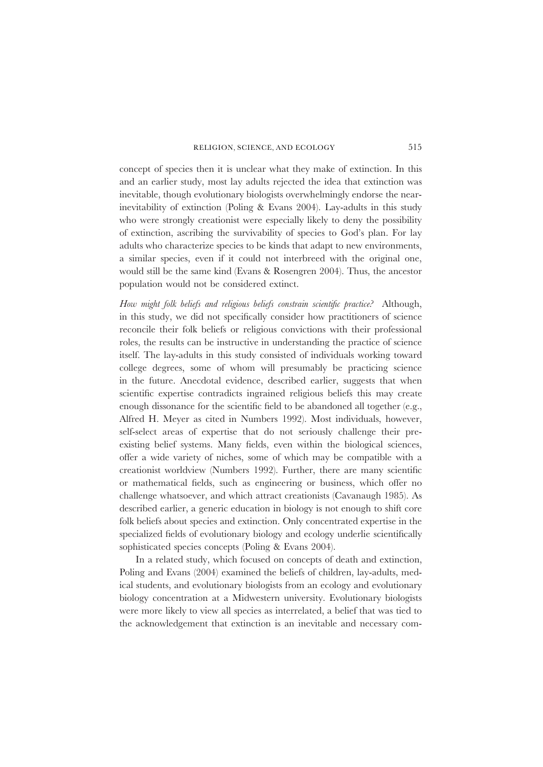concept of species then it is unclear what they make of extinction. In this and an earlier study, most lay adults rejected the idea that extinction was inevitable, though evolutionary biologists overwhelmingly endorse the nearinevitability of extinction (Poling & Evans 2004). Lay-adults in this study who were strongly creationist were especially likely to deny the possibility of extinction, ascribing the survivability of species to God's plan. For lay adults who characterize species to be kinds that adapt to new environments, a similar species, even if it could not interbreed with the original one, would still be the same kind (Evans & Rosengren 2004). Thus, the ancestor population would not be considered extinct.

How might folk beliefs and religious beliefs constrain scientific practice? Although, in this study, we did not specifically consider how practitioners of science reconcile their folk beliefs or religious convictions with their professional roles, the results can be instructive in understanding the practice of science itself. The lay-adults in this study consisted of individuals working toward college degrees, some of whom will presumably be practicing science in the future. Anecdotal evidence, described earlier, suggests that when scientific expertise contradicts ingrained religious beliefs this may create enough dissonance for the scientific field to be abandoned all together (e.g., Alfred H. Meyer as cited in Numbers 1992). Most individuals, however, self-select areas of expertise that do not seriously challenge their preexisting belief systems. Many fields, even within the biological sciences, offer a wide variety of niches, some of which may be compatible with a creationist worldview (Numbers 1992). Further, there are many scientific or mathematical fields, such as engineering or business, which offer no challenge whatsoever, and which attract creationists (Cavanaugh 1985). As described earlier, a generic education in biology is not enough to shift core folk beliefs about species and extinction. Only concentrated expertise in the specialized fields of evolutionary biology and ecology underlie scientifically sophisticated species concepts (Poling & Evans 2004).

In a related study, which focused on concepts of death and extinction, Poling and Evans (2004) examined the beliefs of children, lay-adults, medical students, and evolutionary biologists from an ecology and evolutionary biology concentration at a Midwestern university. Evolutionary biologists were more likely to view all species as interrelated, a belief that was tied to the acknowledgement that extinction is an inevitable and necessary com-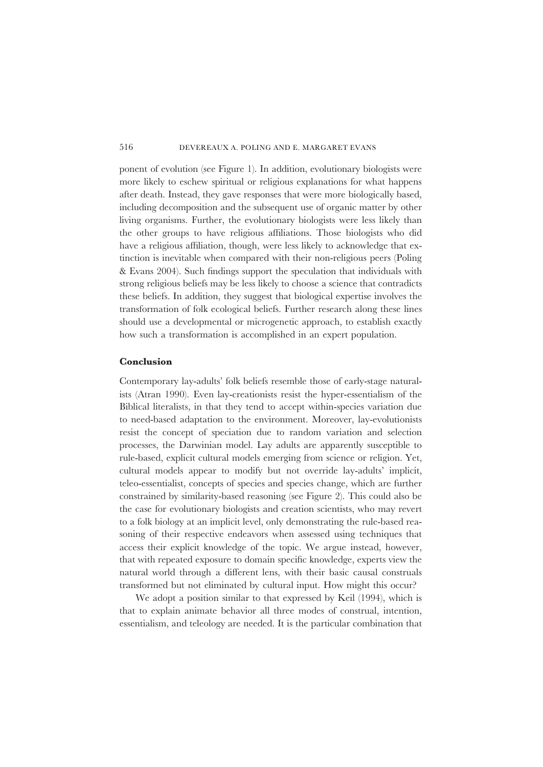ponent of evolution (see Figure 1). In addition, evolutionary biologists were more likely to eschew spiritual or religious explanations for what happens after death. Instead, they gave responses that were more biologically based, including decomposition and the subsequent use of organic matter by other living organisms. Further, the evolutionary biologists were less likely than the other groups to have religious affiliations. Those biologists who did have a religious affiliation, though, were less likely to acknowledge that extinction is inevitable when compared with their non-religious peers (Poling) & Evans 2004). Such findings support the speculation that individuals with strong religious beliefs may be less likely to choose a science that contradicts these beliefs. In addition, they suggest that biological expertise involves the transformation of folk ecological beliefs. Further research along these lines should use a developmental or microgenetic approach, to establish exactly how such a transformation is accomplished in an expert population.

# Conclusion

Contemporary lay-adults' folk beliefs resemble those of early-stage naturalists (Atran 1990). Even lay-creationists resist the hyper-essentialism of the Biblical literalists, in that they tend to accept within-species variation due to need-based adaptation to the environment. Moreover, lay-evolutionists resist the concept of speciation due to random variation and selection processes, the Darwinian model. Lay adults are apparently susceptible to rule-based, explicit cultural models emerging from science or religion. Yet, cultural models appear to modify but not override lay-adults' implicit, teleo-essentialist, concepts of species and species change, which are further constrained by similarity-based reasoning (see Figure 2). This could also be the case for evolutionary biologists and creation scientists, who may revert to a folk biology at an implicit level, only demonstrating the rule-based reasoning of their respective endeavors when assessed using techniques that access their explicit knowledge of the topic. We argue instead, however, that with repeated exposure to domain specific knowledge, experts view the natural world through a different lens, with their basic causal construals transformed but not eliminated by cultural input. How might this occur?

We adopt a position similar to that expressed by Keil (1994), which is that to explain animate behavior all three modes of construal, intention, essentialism, and teleology are needed. It is the particular combination that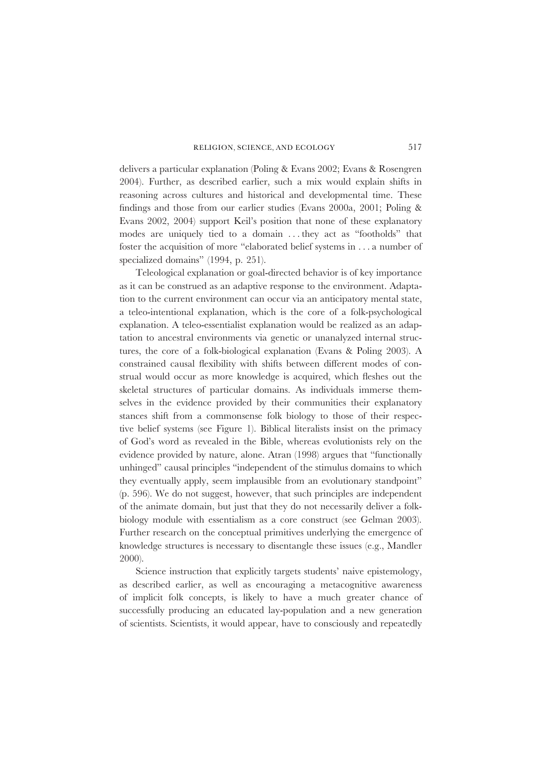delivers a particular explanation (Poling & Evans 2002; Evans & Rosengren 2004). Further, as described earlier, such a mix would explain shifts in reasoning across cultures and historical and developmental time. These findings and those from our earlier studies (Evans 2000a, 2001; Poling & Evans 2002, 2004) support Keil's position that none of these explanatory modes are uniquely tied to a domain ... they act as "footholds" that foster the acquisition of more "elaborated belief systems in . . . a number of specialized domains" (1994, p. 251).

Teleological explanation or goal-directed behavior is of key importance as it can be construed as an adaptive response to the environment. Adaptation to the current environment can occur via an anticipatory mental state, a teleo-intentional explanation, which is the core of a folk-psychological explanation. A teleo-essentialist explanation would be realized as an adaptation to ancestral environments via genetic or unanalyzed internal structures, the core of a folk-biological explanation (Evans & Poling 2003). A constrained causal flexibility with shifts between different modes of construal would occur as more knowledge is acquired, which fleshes out the skeletal structures of particular domains. As individuals immerse themselves in the evidence provided by their communities their explanatory stances shift from a commonsense folk biology to those of their respective belief systems (see Figure 1). Biblical literalists insist on the primacy of God's word as revealed in the Bible, whereas evolutionists rely on the evidence provided by nature, alone. Atran (1998) argues that "functionally unhinged" causal principles "independent of the stimulus domains to which they eventually apply, seem implausible from an evolutionary standpoint" (p. 596). We do not suggest, however, that such principles are independent of the animate domain, but just that they do not necessarily deliver a folkbiology module with essentialism as a core construct (see Gelman 2003). Further research on the conceptual primitives underlying the emergence of knowledge structures is necessary to disentangle these issues (e.g., Mandler 2000).

Science instruction that explicitly targets students' naive epistemology, as described earlier, as well as encouraging a metacognitive awareness of implicit folk concepts, is likely to have a much greater chance of successfully producing an educated lay-population and a new generation of scientists. Scientists, it would appear, have to consciously and repeatedly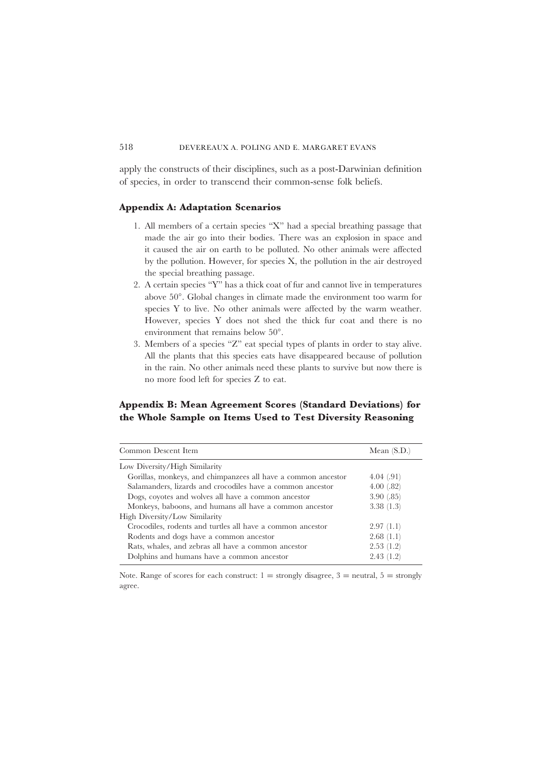apply the constructs of their disciplines, such as a post-Darwinian definition of species, in order to transcend their common-sense folk beliefs.

## **Appendix A: Adaptation Scenarios**

- 1. All members of a certain species "X" had a special breathing passage that made the air go into their bodies. There was an explosion in space and it caused the air on earth to be polluted. No other animals were affected by the pollution. However, for species X, the pollution in the air destroyed the special breathing passage.
- 2. A certain species "Y" has a thick coat of fur and cannot live in temperatures above 50°. Global changes in climate made the environment too warm for species Y to live. No other animals were affected by the warm weather. However, species Y does not shed the thick fur coat and there is no environment that remains below  $50^{\circ}$ .
- 3. Members of a species "Z" eat special types of plants in order to stay alive. All the plants that this species eats have disappeared because of pollution in the rain. No other animals need these plants to survive but now there is no more food left for species Z to eat.

# Appendix B: Mean Agreement Scores (Standard Deviations) for the Whole Sample on Items Used to Test Diversity Reasoning

| Common Descent Item                                           | Mean $(S.D.)$ |
|---------------------------------------------------------------|---------------|
| Low Diversity/High Similarity                                 |               |
| Gorillas, monkeys, and chimpanzees all have a common ancestor | 4.04(.91)     |
| Salamanders, lizards and crocodiles have a common ancestor    | 4.00(0.82)    |
| Dogs, covotes and wolves all have a common ancestor           | 3.90(.85)     |
| Monkeys, baboons, and humans all have a common ancestor       | 3.38(1.3)     |
| High Diversity/Low Similarity                                 |               |
| Crocodiles, rodents and turtles all have a common ancestor    | 2.97(1.1)     |
| Rodents and dogs have a common ancestor                       | 2.68(1.1)     |
| Rats, whales, and zebras all have a common ancestor           | 2.53(1.2)     |
| Dolphins and humans have a common ancestor                    | 2.43(1.2)     |

Note. Range of scores for each construct:  $1 =$  strongly disagree,  $3 =$  neutral,  $5 =$  strongly agree.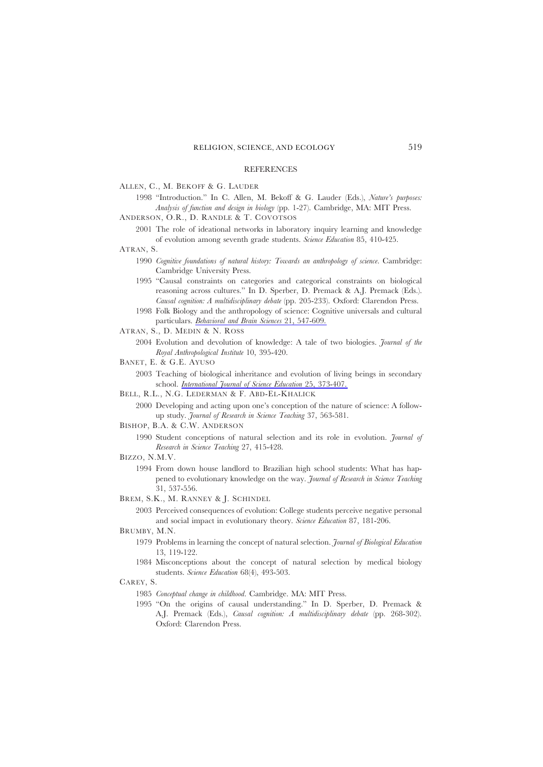#### **REFERENCES**

1998 "Introduction." In C. Allen, M. Bekoff & G. Lauder (Eds.), Nature's purposes: Analysis of function and design in biology (pp. 1-27). Cambridge, MA: MIT Press.

ANDERSON, O.R., D. RANDLE & T. COVOTSOS

- 2001 The role of ideational networks in laboratory inquiry learning and knowledge of evolution among seventh grade students. Science Education 85, 410-425.
- ATRAN, S.
	- 1990 Cognitive foundations of natural history: Towards an anthropology of science. Cambridge: Cambridge University Press.
	- 1995 "Causal constraints on categories and categorical constraints on biological reasoning across cultures." In D. Sperber, D. Premack & A.J. Premack (Eds.). Causal cognition: A multidisciplinary debate (pp. 205-233). Oxford: Clarendon Press.
	- 1998 Folk Biology and the anthropology of science: Cognitive universals and cultural particulars. Behavioral and Brain Sciences 21, 547-609.
- ATRAN, S., D. MEDIN & N. ROSS
	- 2004 Evolution and devolution of knowledge: A tale of two biologies. Journal of the Royal Anthropological Institute 10, 395-420.
- BANET, E. & G.E. AYUSO
	- 2003 Teaching of biological inheritance and evolution of living beings in secondary school. International Journal of Science Education 25, 373-407.

- 2000 Developing and acting upon one's conception of the nature of science: A followup study. Journal of Research in Science Teaching 37, 563-581.
- BISHOP, B.A. & C.W. ANDERSON
	- 1990 Student conceptions of natural selection and its role in evolution. Journal of Research in Science Teaching 27, 415-428.
- BIZZO, N.M.V.
	- 1994 From down house landlord to Brazilian high school students: What has happened to evolutionary knowledge on the way. Journal of Research in Science Teaching 31, 537-556.
- BREM, S.K., M. RANNEY & J. SCHINDEL
	- 2003 Perceived consequences of evolution: College students perceive negative personal and social impact in evolutionary theory. Science Education 87, 181-206.

- 1979 Problems in learning the concept of natural selection. Journal of Biological Education 13, 119-122.
- 1984 Misconceptions about the concept of natural selection by medical biology students. Science Education 68(4), 493-503.

## CAREY, S.

- 1985 Conceptual change in childhood. Cambridge. MA: MIT Press.
- 1995 "On the origins of causal understanding." In D. Sperber, D. Premack & A.J. Premack (Eds.), Causal cognition: A multidisciplinary debate (pp. 268-302). Oxford: Clarendon Press.

ALLEN, C., M. BEKOFF & G. LAUDER

BELL, R.L., N.G. LEDERMAN & F. ABD-EL-KHALICK

BRUMBY, M.N.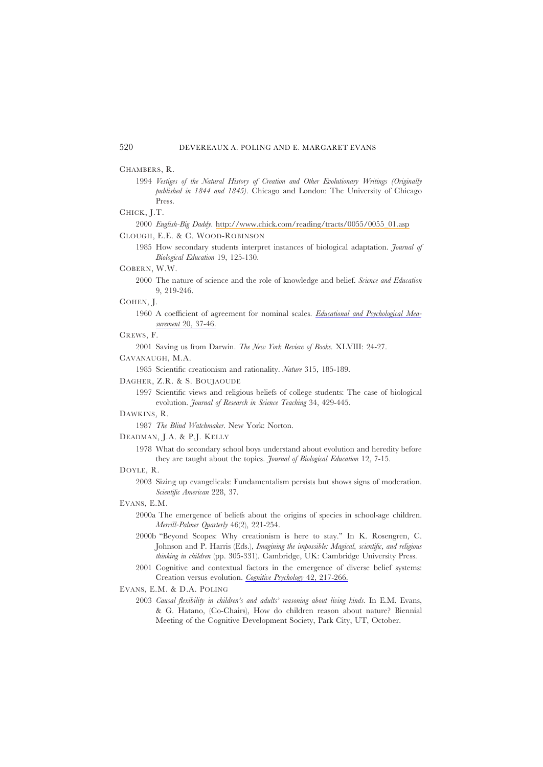#### CHAMBERS, R.

1994 Vestiges of the Natural History of Creation and Other Evolutionary Writings (Originally published in 1844 and 1845). Chicago and London: The University of Chicago Press.

#### CHICK, J.T.

2000 English-Big Daddy. http://www.chick.com/reading/tracts/0055/0055 01.asp

#### CLOUGH, E.E. & C. WOOD-ROBINSON

1985 How secondary students interpret instances of biological adaptation. Journal of Biological Education 19, 125-130.

#### COBERN, W.W.

2000 The nature of science and the role of knowledge and belief. Science and Education 9, 219-246.

## COHEN, I.

1960 A coefficient of agreement for nominal scales. Educational and Psychological Measurement 20, 37-46.

## CREWS, F.

2001 Saving us from Darwin. The New York Review of Books. XLVIII: 24-27.

#### CAVANAUGH, M.A.

1985 Scientific creationism and rationality. Nature 315, 185-189.

#### DAGHER, Z.R. & S. BOUJAOUDE

1997 Scientific views and religious beliefs of college students: The case of biological evolution. Journal of Research in Science Teaching 34, 429-445.

#### DAWKINS, R.

1987 The Blind Watchmaker, New York: Norton,

#### DEADMAN, J.A. & P.J. KELLY

1978 What do secondary school boys understand about evolution and heredity before they are taught about the topics. Journal of Biological Education 12, 7-15.

#### DOYLE, R.

2003 Sizing up evangelicals: Fundamentalism persists but shows signs of moderation. Scientific American 228, 37.

## EVANS, E.M.

- 2000a The emergence of beliefs about the origins of species in school-age children. Merrill-Palmer Quarterly 46(2), 221-254.
- 2000b "Beyond Scopes: Why creationism is here to stay." In K. Rosengren, C. Johnson and P. Harris (Eds.), Imagining the impossible: Magical, scientific, and religious thinking in children (pp. 305-331). Cambridge, UK: Cambridge University Press.
- 2001 Cognitive and contextual factors in the emergence of diverse belief systems: Creation versus evolution. Cognitive Psychology 42, 217-266.
- EVANS, E.M. & D.A. POLING
	- 2003 Causal flexibility in children's and adults' reasoning about living kinds. In E.M. Evans, & G. Hatano, (Co-Chairs), How do children reason about nature? Biennial Meeting of the Cognitive Development Society, Park City, UT, October.

520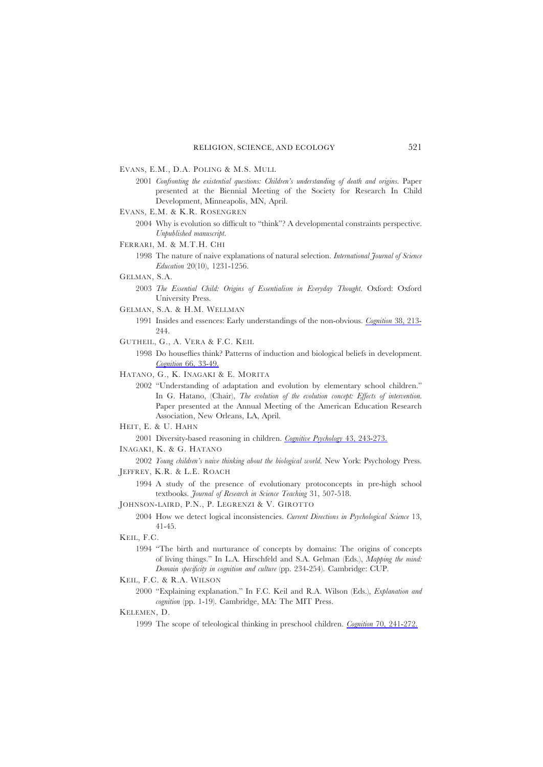- EVANS, E.M., D.A. POLING & M.S. MULL
	- 2001 Confronting the existential questions: Children's understanding of death and origins. Paper presented at the Biennial Meeting of the Society for Research In Child Development, Minneapolis, MN, April.
- EVANS, E.M. & K.R. ROSENGREN
	- 2004 Why is evolution so difficult to "think"? A developmental constraints perspective. Unpublished manuscript.
- FERRARI, M. & M.T.H. CHI
	- 1998 The nature of naive explanations of natural selection. International Journal of Science Education 20(10), 1231-1256.
- GELMAN, S.A.
	- 2003 The Essential Child: Origins of Essentialism in Everyday Thought. Oxford: Oxford University Press.
- GELMAN, S.A. & H.M. WELLMAN
	- 1991 Insides and essences: Early understandings of the non-obvious. Cognition 38, 213-244.
- GUTHEIL, G., A. VERA & F.C. KEIL
	- 1998 Do houseflies think? Patterns of induction and biological beliefs in development. Cognition 66, 33-49.
- HATANO, G., K. INAGAKI & E. MORITA
	- 2002 "Understanding of adaptation and evolution by elementary school children." In G. Hatano, (Chair), The evolution of the evolution concept: Effects of intervention. Paper presented at the Annual Meeting of the American Education Research Association, New Orleans, LA, April.
- HEIT. E. & U. HAHN

2001 Diversity-based reasoning in children. Cognitive Psychology 43, 243-273.

INAGAKI, K. & G. HATANO

2002 Young children's naive thinking about the biological world. New York: Psychology Press.

- JEFFREY, K.R. & L.E. ROACH
	- 1994 A study of the presence of evolutionary protoconcepts in pre-high school textbooks. Journal of Research in Science Teaching 31, 507-518.
- JOHNSON-LAIRD, P.N., P. LEGRENZI & V. GIROTTO
	- 2004 How we detect logical inconsistencies. Current Directions in Psychological Science 13,  $41 - 45$

- 1994 "The birth and nurturance of concepts by domains: The origins of concepts of living things." In L.A. Hirschfeld and S.A. Gelman (Eds.), Mapping the mind: Domain specificity in cognition and culture (pp. 234-254). Cambridge: CUP.
- KEIL, F.C. & R.A. WILSON
	- 2000 "Explaining explanation." In F.C. Keil and R.A. Wilson (Eds.), Explanation and cognition (pp. 1-19). Cambridge, MA: The MIT Press.

## KELEMEN, D.

1999 The scope of teleological thinking in preschool children. Cognition 70, 241-272.

KEIL, F.C.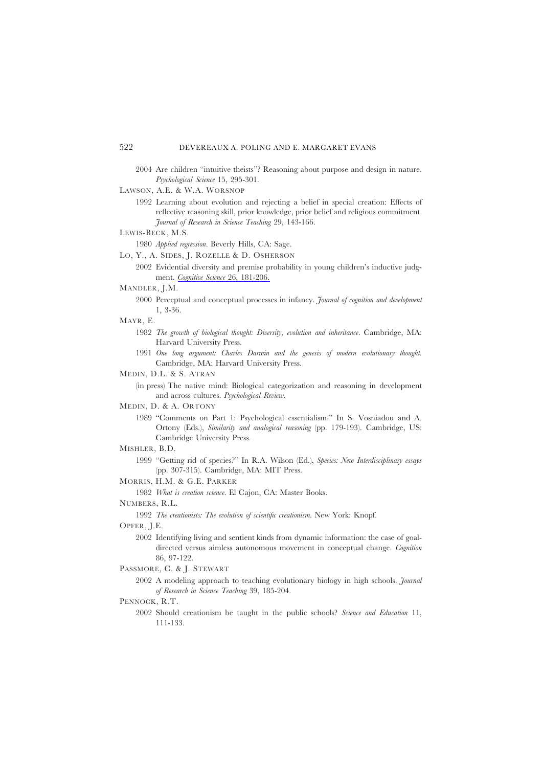#### DEVEREAUX A. POLING AND E. MARGARET EVANS

- 2004 Are children "intuitive theists"? Reasoning about purpose and design in nature. Psychological Science 15, 295-301.
- LAWSON, A.E. & W.A. WORSNOP
	- 1992 Learning about evolution and rejecting a belief in special creation: Effects of reflective reasoning skill, prior knowledge, prior belief and religious commitment. Journal of Research in Science Teaching 29, 143-166.

LEWIS-BECK, M.S.

1980 Applied regression. Beverly Hills, CA: Sage.

LO, Y., A. SIDES, J. ROZELLE & D. OSHERSON

2002 Evidential diversity and premise probability in young children's inductive judgment. Cognitive Science 26, 181-206.

## MANDLER, J.M.

## MAYR, E.

- 1982 The growth of biological thought: Diversity, evolution and inheritance. Cambridge, MA: Harvard University Press.
- 1991 One long argument: Charles Darwin and the genesis of modern evolutionary thought. Cambridge, MA: Harvard University Press.

#### MEDIN, D.L. & S. ATRAN

(in press) The native mind: Biological categorization and reasoning in development and across cultures. Psychological Review.

#### MEDIN, D. & A. ORTONY

1989 "Comments on Part 1: Psychological essentialism." In S. Vosniadou and A. Ortony (Eds.), Similarity and analogical reasoning (pp. 179-193). Cambridge, US: Cambridge University Press.

## MISHLER, B.D.

1999 "Getting rid of species?" In R.A. Wilson (Ed.), Species: New Interdisciplinary essays (pp. 307-315). Cambridge, MA: MIT Press.

#### MORRIS, H.M. & G.E. PARKER

1982 What is creation science. El Cajon, CA: Master Books.

## NUMBERS, R.L.

1992 The creationists: The evolution of scientific creationism. New York: Knopf.

OPFER, J.E.

- 2002 Identifying living and sentient kinds from dynamic information: the case of goaldirected versus aimless autonomous movement in conceptual change. Cognition 86, 97-122.
- PASSMORE, C. & J. STEWART

#### PENNOCK, R.T.

2002 Should creationism be taught in the public schools? Science and Education 11, 111-133.

<sup>2000</sup> Perceptual and conceptual processes in infancy. *Journal of cognition and development*  $1, 3-36.$ 

<sup>2002</sup> A modeling approach to teaching evolutionary biology in high schools. Journal of Research in Science Teaching 39, 185-204.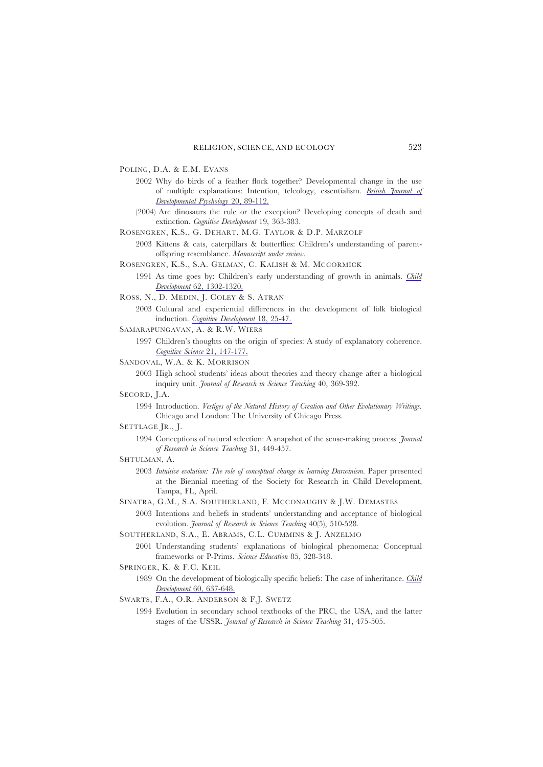#### POLING, D.A. & E.M. EVANS

- 2002 Why do birds of a feather flock together? Developmental change in the use of multiple explanations: Intention, teleology, essentialism. British Journal of Developmental Psychology 20, 89-112.
- (2004) Are dinosaurs the rule or the exception? Developing concepts of death and extinction. Cognitive Development 19, 363-383.

ROSENGREN, K.S., G. DEHART, M.G. TAYLOR & D.P. MARZOLF

- 2003 Kittens & cats, caterpillars & butterflies: Children's understanding of parentoffspring resemblance. Manuscript under review.
- ROSENGREN, K.S., S.A. GELMAN, C. KALISH & M. MCCORMICK
	- 1991 As time goes by: Children's early understanding of growth in animals. Child Development 62, 1302-1320.
- ROSS, N., D. MEDIN, J. COLEY & S. ATRAN
	- 2003 Cultural and experiential differences in the development of folk biological induction. Cognitive Development 18, 25-47.
- SAMARAPUNGAVAN, A. & R.W. WIERS
	- 1997 Children's thoughts on the origin of species: A study of explanatory coherence. Cognitive Science 21, 147-177.
- SANDOVAL, W.A. & K. MORRISON
	- 2003 High school students' ideas about theories and theory change after a biological inquiry unit. Journal of Research in Science Teaching 40, 369-392.

#### SECORD, J.A.

1994 Introduction. Vestiges of the Natural History of Creation and Other Evolutionary Writings. Chicago and London: The University of Chicago Press.

#### SETTLAGE JR., J.

1994 Conceptions of natural selection: A snapshot of the sense-making process. Journal of Research in Science Teaching 31, 449-457.

## SHTULMAN, A.

- 2003 Intuitive evolution: The role of conceptual change in learning Darwinism. Paper presented at the Biennial meeting of the Society for Research in Child Development, Tampa, FL, April.
- SINATRA, G.M., S.A. SOUTHERLAND, F. MCCONAUGHY & J.W. DEMASTES
	- 2003 Intentions and beliefs in students' understanding and acceptance of biological evolution. Journal of Research in Science Teaching 40(5), 510-528.

SOUTHERLAND, S.A., E. ABRAMS, C.L. CUMMINS & J. ANZELMO

- 2001 Understanding students' explanations of biological phenomena: Conceptual frameworks or P-Prims. Science Education 85, 328-348.
- SPRINGER, K. & F.C. KEIL
	- 1989 On the development of biologically specific beliefs: The case of inheritance. Child Development 60, 637-648.
- SWARTS, F.A., O.R. ANDERSON & F.J. SWETZ
	- 1994 Evolution in secondary school textbooks of the PRC, the USA, and the latter stages of the USSR. Journal of Research in Science Teaching 31, 475-505.